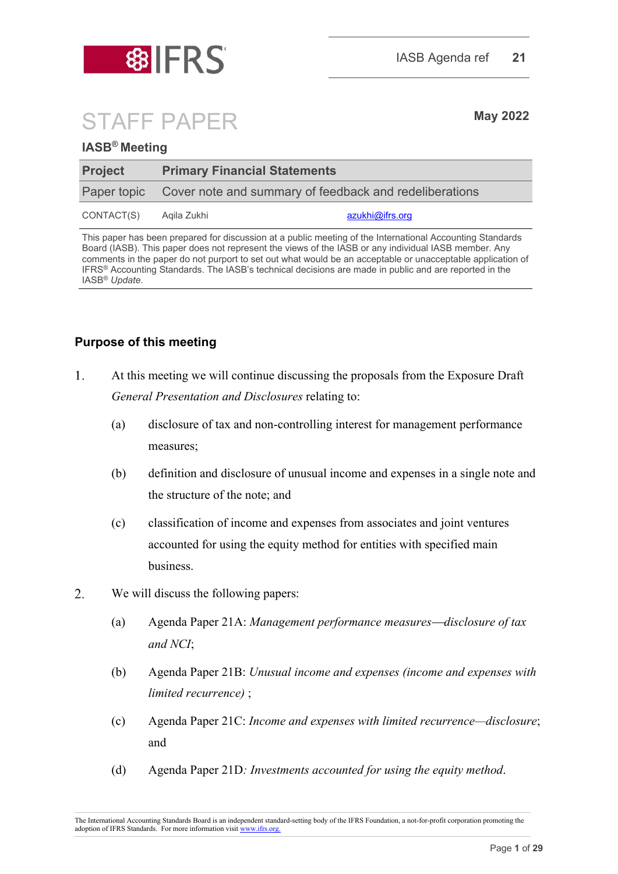

# STAFF PAPER **May <sup>2022</sup>**

## **IASB® Meeting**

| <b>Project</b> |                                                                    | <b>Primary Financial Statements</b> |  |  |
|----------------|--------------------------------------------------------------------|-------------------------------------|--|--|
|                | Paper topic Cover note and summary of feedback and redeliberations |                                     |  |  |
| CONTACT(S)     | Aqila Zukhi                                                        | azukhi@ifrs.org                     |  |  |

This paper has been prepared for discussion at a public meeting of the International Accounting Standards Board (IASB). This paper does not represent the views of the IASB or any individual IASB member. Any comments in the paper do not purport to set out what would be an acceptable or unacceptable application of IFRS® Accounting Standards. The IASB's technical decisions are made in public and are reported in the IASB® *Update*.

# **Purpose of this meeting**

- $\mathbf{1}$ . At this meeting we will continue discussing the proposals from the Exposure Draft *General Presentation and Disclosures* relating to:
	- (a) disclosure of tax and non-controlling interest for management performance measures;
	- (b) definition and disclosure of unusual income and expenses in a single note and the structure of the note; and
	- (c) classification of income and expenses from associates and joint ventures accounted for using the equity method for entities with specified main business.
- $\overline{2}$ . We will discuss the following papers:
	- (a) Agenda Paper 21A: *Management performance measuresdisclosure of tax and NCI*;
	- (b) Agenda Paper 21B: *Unusual income and expenses (income and expenses with limited recurrence)* ;
	- (c) Agenda Paper 21C: *Income and expenses with limited recurrence—disclosure*; and
	- (d) Agenda Paper 21D*: Investments accounted for using the equity method*.

The International Accounting Standards Board is an independent standard-setting body of the IFRS Foundation, a not-for-profit corporation promoting the adoption of IFRS Standards. For more information visit [www.ifrs.org.](http://www.ifrs.org/)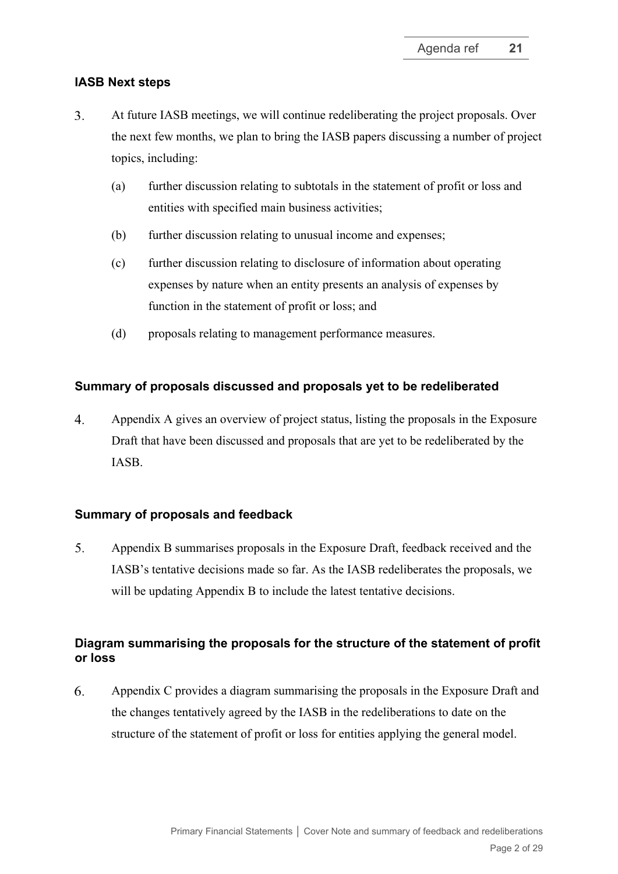#### **IASB Next steps**

- $3<sub>1</sub>$ At future IASB meetings, we will continue redeliberating the project proposals. Over the next few months, we plan to bring the IASB papers discussing a number of project topics, including:
	- (a) further discussion relating to subtotals in the statement of profit or loss and entities with specified main business activities;
	- (b) further discussion relating to unusual income and expenses;
	- (c) further discussion relating to disclosure of information about operating expenses by nature when an entity presents an analysis of expenses by function in the statement of profit or loss; and
	- (d) proposals relating to management performance measures.

## **Summary of proposals discussed and proposals yet to be redeliberated**

 $\overline{4}$ . Appendix A gives an overview of project status, listing the proposals in the Exposure Draft that have been discussed and proposals that are yet to be redeliberated by the IASB.

#### **Summary of proposals and feedback**

 $5<sub>1</sub>$ Appendix B summarises proposals in the Exposure Draft, feedback received and the IASB's tentative decisions made so far. As the IASB redeliberates the proposals, we will be updating Appendix B to include the latest tentative decisions.

# **Diagram summarising the proposals for the structure of the statement of profit or loss**

6. Appendix C provides a diagram summarising the proposals in the Exposure Draft and the changes tentatively agreed by the IASB in the redeliberations to date on the structure of the statement of profit or loss for entities applying the general model.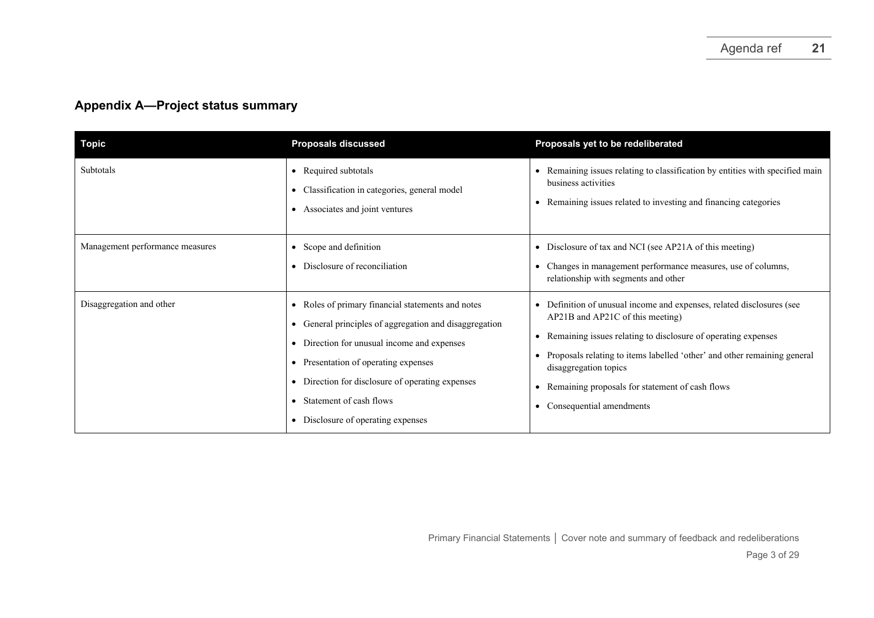# **Appendix A—Project status summary**

| <b>Topic</b>                    | <b>Proposals discussed</b>                                                                                                                                                                                                                                                                                                           | Proposals yet to be redeliberated                                                                                                                                                                                                                                                                                                                              |
|---------------------------------|--------------------------------------------------------------------------------------------------------------------------------------------------------------------------------------------------------------------------------------------------------------------------------------------------------------------------------------|----------------------------------------------------------------------------------------------------------------------------------------------------------------------------------------------------------------------------------------------------------------------------------------------------------------------------------------------------------------|
| Subtotals                       | • Required subtotals<br>• Classification in categories, general model<br>Associates and joint ventures<br>$\bullet$                                                                                                                                                                                                                  | • Remaining issues relating to classification by entities with specified main<br>business activities<br>Remaining issues related to investing and financing categories                                                                                                                                                                                         |
| Management performance measures | • Scope and definition<br>• Disclosure of reconciliation                                                                                                                                                                                                                                                                             | • Disclosure of tax and NCI (see AP21A of this meeting)<br>Changes in management performance measures, use of columns,<br>relationship with segments and other                                                                                                                                                                                                 |
| Disaggregation and other        | • Roles of primary financial statements and notes<br>• General principles of aggregation and disaggregation<br>• Direction for unusual income and expenses<br>• Presentation of operating expenses<br>• Direction for disclosure of operating expenses<br>Statement of cash flows<br>$\bullet$<br>• Disclosure of operating expenses | • Definition of unusual income and expenses, related disclosures (see<br>AP21B and AP21C of this meeting)<br>Remaining issues relating to disclosure of operating expenses<br>Proposals relating to items labelled 'other' and other remaining general<br>disaggregation topics<br>Remaining proposals for statement of cash flows<br>Consequential amendments |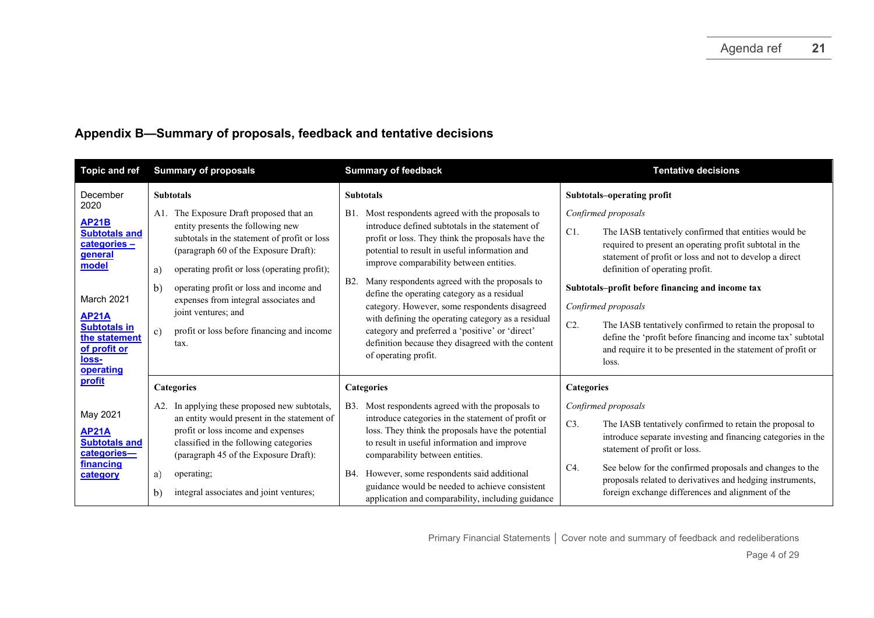# **Appendix B—Summary of proposals, feedback and tentative decisions**

| <b>Topic and ref</b>                                                                                     | <b>Summary of proposals</b>                                                                                                                                                                                                                                                                                     | <b>Summary of feedback</b>                                                                                                                                                                                                                                                                                                                                                                                                                | <b>Tentative decisions</b>                                                                                                                                                                                                                                                                                                                                                                       |
|----------------------------------------------------------------------------------------------------------|-----------------------------------------------------------------------------------------------------------------------------------------------------------------------------------------------------------------------------------------------------------------------------------------------------------------|-------------------------------------------------------------------------------------------------------------------------------------------------------------------------------------------------------------------------------------------------------------------------------------------------------------------------------------------------------------------------------------------------------------------------------------------|--------------------------------------------------------------------------------------------------------------------------------------------------------------------------------------------------------------------------------------------------------------------------------------------------------------------------------------------------------------------------------------------------|
| December<br>2020<br><b>AP21B</b><br><b>Subtotals and</b><br>categories-<br>general<br>model              | <b>Subtotals</b><br>A1. The Exposure Draft proposed that an<br>entity presents the following new<br>subtotals in the statement of profit or loss<br>(paragraph 60 of the Exposure Draft):<br>operating profit or loss (operating profit);<br>a)<br>operating profit or loss and income and<br>b)                | <b>Subtotals</b><br>Most respondents agreed with the proposals to<br><b>B</b> 1.<br>introduce defined subtotals in the statement of<br>profit or loss. They think the proposals have the<br>potential to result in useful information and<br>improve comparability between entities.<br>Many respondents agreed with the proposals to<br><b>B2.</b>                                                                                       | Subtotals-operating profit<br>Confirmed proposals<br>C1.<br>The IASB tentatively confirmed that entities would be<br>required to present an operating profit subtotal in the<br>statement of profit or loss and not to develop a direct<br>definition of operating profit.<br>Subtotals-profit before financing and income tax                                                                   |
| March 2021<br><b>AP21A</b><br><b>Subtotals in</b><br>the statement<br>of profit or<br>loss-<br>operating | expenses from integral associates and<br>joint ventures; and<br>profit or loss before financing and income<br>c)<br>tax.                                                                                                                                                                                        | define the operating category as a residual<br>category. However, some respondents disagreed<br>with defining the operating category as a residual<br>category and preferred a 'positive' or 'direct'<br>definition because they disagreed with the content<br>of operating profit.                                                                                                                                                       | Confirmed proposals<br>C2.<br>The IASB tentatively confirmed to retain the proposal to<br>define the 'profit before financing and income tax' subtotal<br>and require it to be presented in the statement of profit or<br>loss.                                                                                                                                                                  |
| profit<br>May 2021<br><b>AP21A</b><br><b>Subtotals and</b><br>categories-<br>financing<br>category       | <b>Categories</b><br>A2. In applying these proposed new subtotals,<br>an entity would present in the statement of<br>profit or loss income and expenses<br>classified in the following categories<br>(paragraph 45 of the Exposure Draft):<br>operating;<br>a)<br>integral associates and joint ventures;<br>b) | <b>Categories</b><br>Most respondents agreed with the proposals to<br><b>B</b> 3.<br>introduce categories in the statement of profit or<br>loss. They think the proposals have the potential<br>to result in useful information and improve<br>comparability between entities.<br>However, some respondents said additional<br>B4.<br>guidance would be needed to achieve consistent<br>application and comparability, including guidance | <b>Categories</b><br>Confirmed proposals<br>C3.<br>The IASB tentatively confirmed to retain the proposal to<br>introduce separate investing and financing categories in the<br>statement of profit or loss.<br>See below for the confirmed proposals and changes to the<br>C4.<br>proposals related to derivatives and hedging instruments,<br>foreign exchange differences and alignment of the |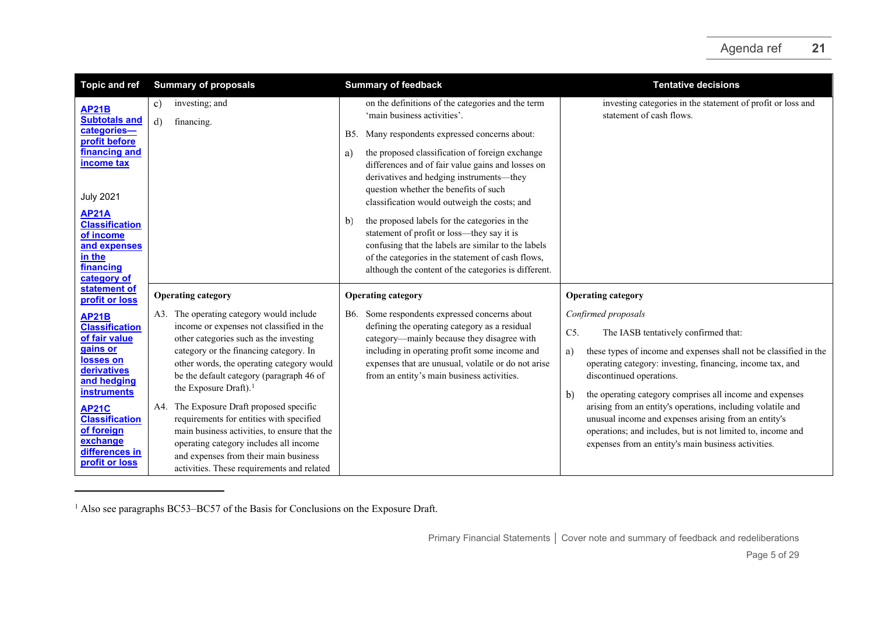<span id="page-4-0"></span>

| <b>Topic and ref</b>                                                                                     | <b>Summary of proposals</b>                                                                                                                                                                                                                                           | <b>Summary of feedback</b>                                                                                                                                                                                                                                            | <b>Tentative decisions</b>                                                                                                                                                                                                                |
|----------------------------------------------------------------------------------------------------------|-----------------------------------------------------------------------------------------------------------------------------------------------------------------------------------------------------------------------------------------------------------------------|-----------------------------------------------------------------------------------------------------------------------------------------------------------------------------------------------------------------------------------------------------------------------|-------------------------------------------------------------------------------------------------------------------------------------------------------------------------------------------------------------------------------------------|
| <b>AP21B</b><br><b>Subtotals and</b>                                                                     | investing; and<br>c)<br>d)<br>financing.                                                                                                                                                                                                                              | on the definitions of the categories and the term<br>'main business activities'.                                                                                                                                                                                      | investing categories in the statement of profit or loss and<br>statement of cash flows.                                                                                                                                                   |
| categories-<br>profit before                                                                             |                                                                                                                                                                                                                                                                       | Many respondents expressed concerns about:<br>B5.                                                                                                                                                                                                                     |                                                                                                                                                                                                                                           |
| financing and<br><b>income tax</b><br><b>July 2021</b>                                                   |                                                                                                                                                                                                                                                                       | the proposed classification of foreign exchange<br>a)<br>differences and of fair value gains and losses on<br>derivatives and hedging instruments-they<br>question whether the benefits of such<br>classification would outweigh the costs; and                       |                                                                                                                                                                                                                                           |
| <b>AP21A</b><br><b>Classification</b><br>of income<br>and expenses<br>in the<br>financing<br>category of |                                                                                                                                                                                                                                                                       | the proposed labels for the categories in the<br>b)<br>statement of profit or loss—they say it is<br>confusing that the labels are similar to the labels<br>of the categories in the statement of cash flows,<br>although the content of the categories is different. |                                                                                                                                                                                                                                           |
| statement of<br>profit or loss                                                                           | <b>Operating category</b>                                                                                                                                                                                                                                             | <b>Operating category</b>                                                                                                                                                                                                                                             | <b>Operating category</b>                                                                                                                                                                                                                 |
| <b>AP21B</b>                                                                                             | A3. The operating category would include                                                                                                                                                                                                                              | Some respondents expressed concerns about<br>B6.                                                                                                                                                                                                                      | Confirmed proposals                                                                                                                                                                                                                       |
| <b>Classification</b><br>of fair value                                                                   | income or expenses not classified in the<br>other categories such as the investing                                                                                                                                                                                    | defining the operating category as a residual<br>category-mainly because they disagree with                                                                                                                                                                           | C5.<br>The IASB tentatively confirmed that:                                                                                                                                                                                               |
| gains or<br>losses on<br>derivatives<br>and hedging<br><b>instruments</b>                                | category or the financing category. In<br>other words, the operating category would<br>be the default category (paragraph 46 of<br>the Exposure Draft). <sup>1</sup>                                                                                                  | including in operating profit some income and<br>expenses that are unusual, volatile or do not arise<br>from an entity's main business activities.                                                                                                                    | these types of income and expenses shall not be classified in the<br>a)<br>operating category: investing, financing, income tax, and<br>discontinued operations.<br>the operating category comprises all income and expenses<br>b)        |
| <b>AP21C</b><br><b>Classification</b><br>of foreign<br>exchange<br>differences in<br>profit or loss      | A4. The Exposure Draft proposed specific<br>requirements for entities with specified<br>main business activities, to ensure that the<br>operating category includes all income<br>and expenses from their main business<br>activities. These requirements and related |                                                                                                                                                                                                                                                                       | arising from an entity's operations, including volatile and<br>unusual income and expenses arising from an entity's<br>operations; and includes, but is not limited to, income and<br>expenses from an entity's main business activities. |

 $1$  Also see paragraphs BC53–BC57 of the Basis for Conclusions on the Exposure Draft.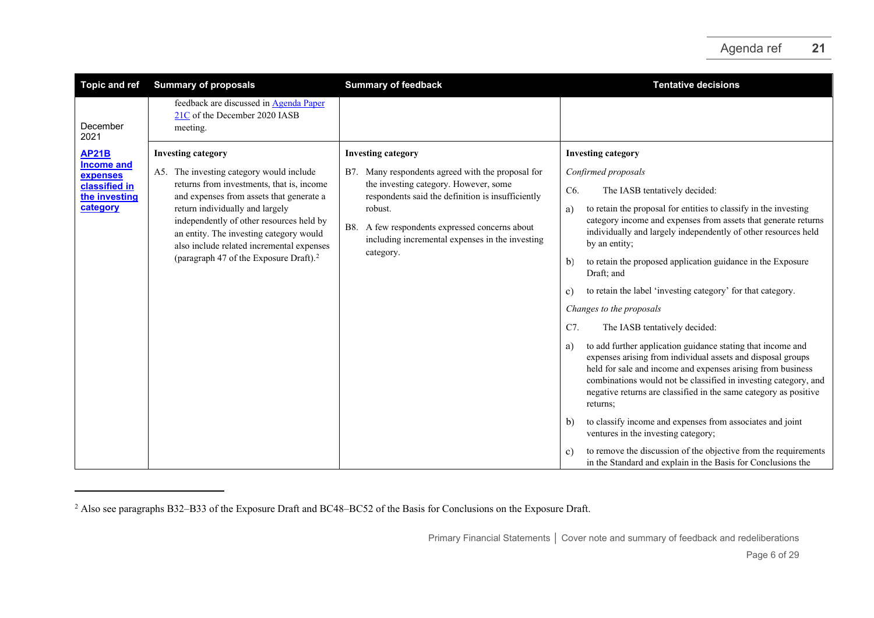<span id="page-5-0"></span>

| <b>Topic and ref</b>                                                                        | <b>Summary of proposals</b>                                                                                                                                                                                                                                                                                                                                                                 | <b>Summary of feedback</b>                                                                                                                                                                                                                                                                                      | <b>Tentative decisions</b>                                                                                                                                                                                                                                                                                                                                                                                                                                                                                                                                                                                                                                                                                                                                                                                                                                                                                                                                                                                                                                                                                       |
|---------------------------------------------------------------------------------------------|---------------------------------------------------------------------------------------------------------------------------------------------------------------------------------------------------------------------------------------------------------------------------------------------------------------------------------------------------------------------------------------------|-----------------------------------------------------------------------------------------------------------------------------------------------------------------------------------------------------------------------------------------------------------------------------------------------------------------|------------------------------------------------------------------------------------------------------------------------------------------------------------------------------------------------------------------------------------------------------------------------------------------------------------------------------------------------------------------------------------------------------------------------------------------------------------------------------------------------------------------------------------------------------------------------------------------------------------------------------------------------------------------------------------------------------------------------------------------------------------------------------------------------------------------------------------------------------------------------------------------------------------------------------------------------------------------------------------------------------------------------------------------------------------------------------------------------------------------|
| December<br>2021                                                                            | feedback are discussed in Agenda Paper<br>21C of the December 2020 IASB<br>meeting.                                                                                                                                                                                                                                                                                                         |                                                                                                                                                                                                                                                                                                                 |                                                                                                                                                                                                                                                                                                                                                                                                                                                                                                                                                                                                                                                                                                                                                                                                                                                                                                                                                                                                                                                                                                                  |
| <b>AP21B</b><br><b>Income and</b><br>expenses<br>classified in<br>the investing<br>category | <b>Investing category</b><br>A5. The investing category would include<br>returns from investments, that is, income<br>and expenses from assets that generate a<br>return individually and largely<br>independently of other resources held by<br>an entity. The investing category would<br>also include related incremental expenses<br>(paragraph 47 of the Exposure Draft). <sup>2</sup> | <b>Investing category</b><br>Many respondents agreed with the proposal for<br>B7.<br>the investing category. However, some<br>respondents said the definition is insufficiently<br>robust.<br>A few respondents expressed concerns about<br>B8.<br>including incremental expenses in the investing<br>category. | <b>Investing category</b><br>Confirmed proposals<br>C6.<br>The IASB tentatively decided:<br>to retain the proposal for entities to classify in the investing<br>a)<br>category income and expenses from assets that generate returns<br>individually and largely independently of other resources held<br>by an entity;<br>to retain the proposed application guidance in the Exposure<br>$\mathbf{b}$<br>Draft; and<br>to retain the label 'investing category' for that category.<br>c)<br>Changes to the proposals<br>C7.<br>The IASB tentatively decided:<br>to add further application guidance stating that income and<br>a)<br>expenses arising from individual assets and disposal groups<br>held for sale and income and expenses arising from business<br>combinations would not be classified in investing category, and<br>negative returns are classified in the same category as positive<br>returns;<br>to classify income and expenses from associates and joint<br>$\mathbf{b}$<br>ventures in the investing category;<br>to remove the discussion of the objective from the requirements<br>c) |
|                                                                                             |                                                                                                                                                                                                                                                                                                                                                                                             |                                                                                                                                                                                                                                                                                                                 | in the Standard and explain in the Basis for Conclusions the                                                                                                                                                                                                                                                                                                                                                                                                                                                                                                                                                                                                                                                                                                                                                                                                                                                                                                                                                                                                                                                     |

<sup>&</sup>lt;sup>2</sup> Also see paragraphs B32–B33 of the Exposure Draft and BC48–BC52 of the Basis for Conclusions on the Exposure Draft.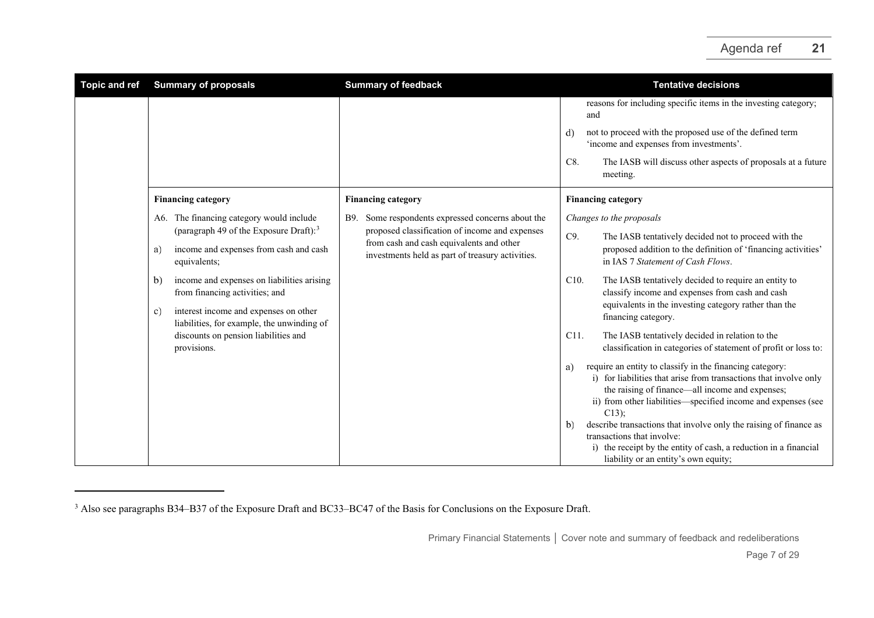<span id="page-6-0"></span>

| <b>Topic and ref</b> | <b>Summary of proposals</b>                                                                                                                                                                                                                                                                                                                                                                     | <b>Summary of feedback</b>                                                                                                                                                                             | <b>Tentative decisions</b>                                                                                                                                                                                                                                                                                                                                                                                                                                                                                                                                                                                                                                                                                                                                                                                                                                                                                                                                                                                                                 |
|----------------------|-------------------------------------------------------------------------------------------------------------------------------------------------------------------------------------------------------------------------------------------------------------------------------------------------------------------------------------------------------------------------------------------------|--------------------------------------------------------------------------------------------------------------------------------------------------------------------------------------------------------|--------------------------------------------------------------------------------------------------------------------------------------------------------------------------------------------------------------------------------------------------------------------------------------------------------------------------------------------------------------------------------------------------------------------------------------------------------------------------------------------------------------------------------------------------------------------------------------------------------------------------------------------------------------------------------------------------------------------------------------------------------------------------------------------------------------------------------------------------------------------------------------------------------------------------------------------------------------------------------------------------------------------------------------------|
|                      |                                                                                                                                                                                                                                                                                                                                                                                                 |                                                                                                                                                                                                        | reasons for including specific items in the investing category;<br>and<br>not to proceed with the proposed use of the defined term<br>d)<br>'income and expenses from investments'.<br>C8.<br>The IASB will discuss other aspects of proposals at a future<br>meeting.                                                                                                                                                                                                                                                                                                                                                                                                                                                                                                                                                                                                                                                                                                                                                                     |
|                      | <b>Financing category</b>                                                                                                                                                                                                                                                                                                                                                                       | <b>Financing category</b>                                                                                                                                                                              | <b>Financing category</b>                                                                                                                                                                                                                                                                                                                                                                                                                                                                                                                                                                                                                                                                                                                                                                                                                                                                                                                                                                                                                  |
|                      | A6. The financing category would include<br>(paragraph 49 of the Exposure Draft): $3$<br>income and expenses from cash and cash<br>a)<br>equivalents;<br>income and expenses on liabilities arising<br>b)<br>from financing activities; and<br>interest income and expenses on other<br>c)<br>liabilities, for example, the unwinding of<br>discounts on pension liabilities and<br>provisions. | Some respondents expressed concerns about the<br>B9.<br>proposed classification of income and expenses<br>from cash and cash equivalents and other<br>investments held as part of treasury activities. | Changes to the proposals<br>C9.<br>The IASB tentatively decided not to proceed with the<br>proposed addition to the definition of 'financing activities'<br>in IAS 7 Statement of Cash Flows.<br>C10.<br>The IASB tentatively decided to require an entity to<br>classify income and expenses from cash and cash<br>equivalents in the investing category rather than the<br>financing category.<br>C <sub>11</sub> .<br>The IASB tentatively decided in relation to the<br>classification in categories of statement of profit or loss to:<br>require an entity to classify in the financing category:<br>a)<br>i) for liabilities that arise from transactions that involve only<br>the raising of finance—all income and expenses;<br>ii) from other liabilities—specified income and expenses (see<br>$C13$ );<br>describe transactions that involve only the raising of finance as<br>b)<br>transactions that involve:<br>the receipt by the entity of cash, a reduction in a financial<br>i)<br>liability or an entity's own equity; |

<sup>&</sup>lt;sup>3</sup> Also see paragraphs B34–B37 of the Exposure Draft and BC33–BC47 of the Basis for Conclusions on the Exposure Draft.

Primary Financial Statements **│** Cover note and summary of feedback and redeliberations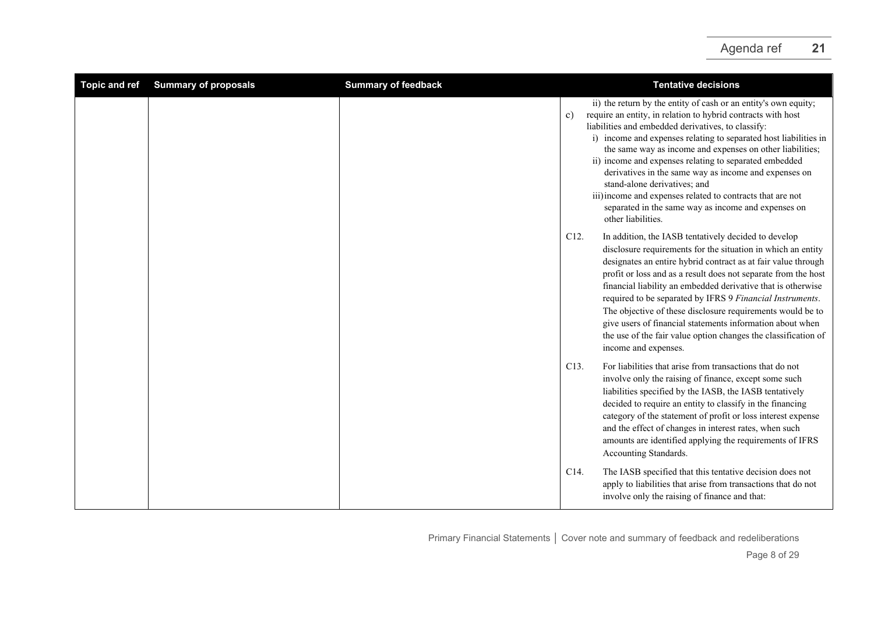<span id="page-7-0"></span>

| <b>Topic and ref</b> | <b>Summary of proposals</b> | <b>Summary of feedback</b> |                   | <b>Tentative decisions</b>                                                                                                                                                                                                                                                                                                                                                                                                                                                                                                                                                                                           |
|----------------------|-----------------------------|----------------------------|-------------------|----------------------------------------------------------------------------------------------------------------------------------------------------------------------------------------------------------------------------------------------------------------------------------------------------------------------------------------------------------------------------------------------------------------------------------------------------------------------------------------------------------------------------------------------------------------------------------------------------------------------|
|                      |                             |                            | c)                | ii) the return by the entity of cash or an entity's own equity;<br>require an entity, in relation to hybrid contracts with host<br>liabilities and embedded derivatives, to classify:<br>i) income and expenses relating to separated host liabilities in<br>the same way as income and expenses on other liabilities;<br>ii) income and expenses relating to separated embedded<br>derivatives in the same way as income and expenses on<br>stand-alone derivatives: and<br>iii) income and expenses related to contracts that are not<br>separated in the same way as income and expenses on<br>other liabilities. |
|                      |                             |                            | C <sub>12</sub> . | In addition, the IASB tentatively decided to develop<br>disclosure requirements for the situation in which an entity<br>designates an entire hybrid contract as at fair value through<br>profit or loss and as a result does not separate from the host<br>financial liability an embedded derivative that is otherwise<br>required to be separated by IFRS 9 Financial Instruments.<br>The objective of these disclosure requirements would be to<br>give users of financial statements information about when<br>the use of the fair value option changes the classification of<br>income and expenses.            |
|                      |                             |                            | C13.              | For liabilities that arise from transactions that do not<br>involve only the raising of finance, except some such<br>liabilities specified by the IASB, the IASB tentatively<br>decided to require an entity to classify in the financing<br>category of the statement of profit or loss interest expense<br>and the effect of changes in interest rates, when such<br>amounts are identified applying the requirements of IFRS<br>Accounting Standards.                                                                                                                                                             |
|                      |                             |                            | C14.              | The IASB specified that this tentative decision does not<br>apply to liabilities that arise from transactions that do not<br>involve only the raising of finance and that:                                                                                                                                                                                                                                                                                                                                                                                                                                           |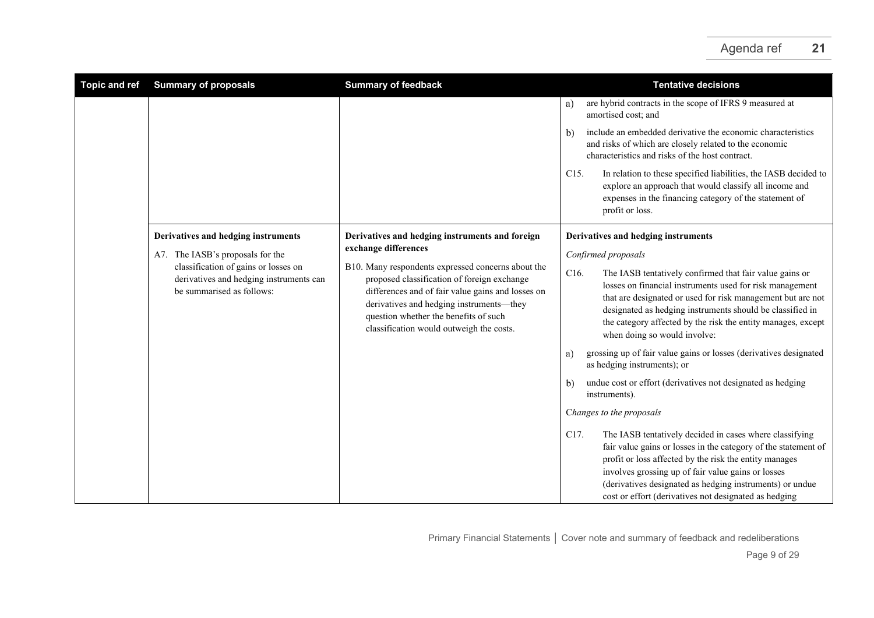| <b>Topic and ref</b> | <b>Summary of proposals</b>                                                                                  | <b>Summary of feedback</b>                                                                                                                                                                                                                                                              | <b>Tentative decisions</b>                                                                                                                                                                                                                                                                                                                                             |
|----------------------|--------------------------------------------------------------------------------------------------------------|-----------------------------------------------------------------------------------------------------------------------------------------------------------------------------------------------------------------------------------------------------------------------------------------|------------------------------------------------------------------------------------------------------------------------------------------------------------------------------------------------------------------------------------------------------------------------------------------------------------------------------------------------------------------------|
|                      |                                                                                                              |                                                                                                                                                                                                                                                                                         | are hybrid contracts in the scope of IFRS 9 measured at<br>a)<br>amortised cost; and                                                                                                                                                                                                                                                                                   |
|                      |                                                                                                              |                                                                                                                                                                                                                                                                                         | include an embedded derivative the economic characteristics<br>b)<br>and risks of which are closely related to the economic<br>characteristics and risks of the host contract.                                                                                                                                                                                         |
|                      |                                                                                                              |                                                                                                                                                                                                                                                                                         | In relation to these specified liabilities, the IASB decided to<br>C <sub>15</sub> .<br>explore an approach that would classify all income and<br>expenses in the financing category of the statement of<br>profit or loss.                                                                                                                                            |
|                      | Derivatives and hedging instruments                                                                          | Derivatives and hedging instruments and foreign                                                                                                                                                                                                                                         | Derivatives and hedging instruments                                                                                                                                                                                                                                                                                                                                    |
|                      | A7. The IASB's proposals for the                                                                             | exchange differences                                                                                                                                                                                                                                                                    | Confirmed proposals                                                                                                                                                                                                                                                                                                                                                    |
|                      | classification of gains or losses on<br>derivatives and hedging instruments can<br>be summarised as follows: | B10. Many respondents expressed concerns about the<br>proposed classification of foreign exchange<br>differences and of fair value gains and losses on<br>derivatives and hedging instruments-they<br>question whether the benefits of such<br>classification would outweigh the costs. | C16.<br>The IASB tentatively confirmed that fair value gains or<br>losses on financial instruments used for risk management<br>that are designated or used for risk management but are not<br>designated as hedging instruments should be classified in<br>the category affected by the risk the entity manages, except<br>when doing so would involve:                |
|                      |                                                                                                              |                                                                                                                                                                                                                                                                                         | grossing up of fair value gains or losses (derivatives designated<br>a)<br>as hedging instruments); or                                                                                                                                                                                                                                                                 |
|                      |                                                                                                              |                                                                                                                                                                                                                                                                                         | undue cost or effort (derivatives not designated as hedging<br>b)<br>instruments).                                                                                                                                                                                                                                                                                     |
|                      |                                                                                                              |                                                                                                                                                                                                                                                                                         | Changes to the proposals                                                                                                                                                                                                                                                                                                                                               |
|                      |                                                                                                              |                                                                                                                                                                                                                                                                                         | C17.<br>The IASB tentatively decided in cases where classifying<br>fair value gains or losses in the category of the statement of<br>profit or loss affected by the risk the entity manages<br>involves grossing up of fair value gains or losses<br>(derivatives designated as hedging instruments) or undue<br>cost or effort (derivatives not designated as hedging |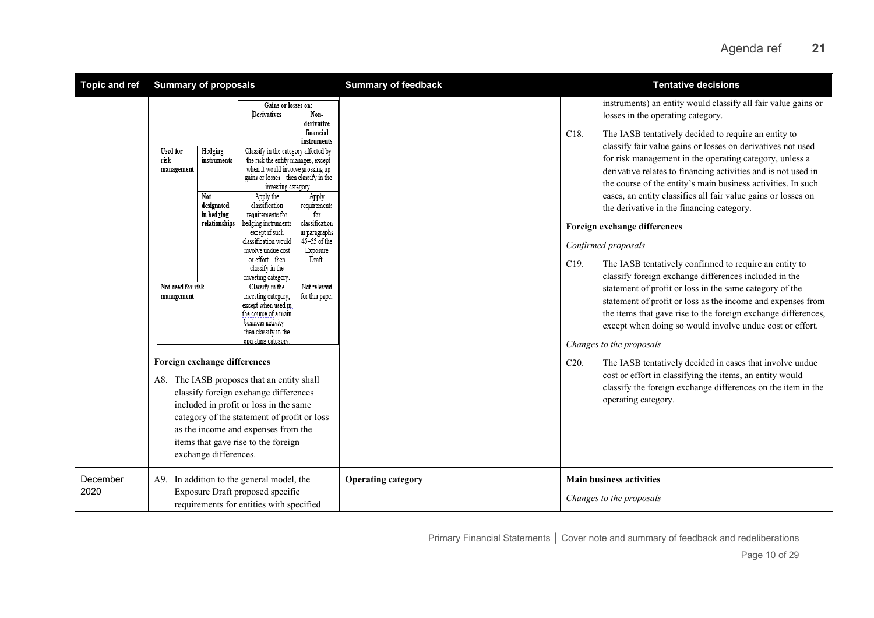| <b>Topic and ref</b> | <b>Summary of proposals</b>                                                                                                                                                            |                                                                                                                                                                                                                                                                                                                                                                                                                                                                                                                                                                                                                                                                                                                                                                                                                                | <b>Summary of feedback</b> | <b>Tentative decisions</b>                                                                                                                                                                                                                                                                                                                                                                                                                                                                                                                                                                                                                                                                                                                                                                                                                                                                                                                                                                                                                                                                                 |
|----------------------|----------------------------------------------------------------------------------------------------------------------------------------------------------------------------------------|--------------------------------------------------------------------------------------------------------------------------------------------------------------------------------------------------------------------------------------------------------------------------------------------------------------------------------------------------------------------------------------------------------------------------------------------------------------------------------------------------------------------------------------------------------------------------------------------------------------------------------------------------------------------------------------------------------------------------------------------------------------------------------------------------------------------------------|----------------------------|------------------------------------------------------------------------------------------------------------------------------------------------------------------------------------------------------------------------------------------------------------------------------------------------------------------------------------------------------------------------------------------------------------------------------------------------------------------------------------------------------------------------------------------------------------------------------------------------------------------------------------------------------------------------------------------------------------------------------------------------------------------------------------------------------------------------------------------------------------------------------------------------------------------------------------------------------------------------------------------------------------------------------------------------------------------------------------------------------------|
|                      |                                                                                                                                                                                        | Gains or losses on:<br>Non-<br>Derivatives                                                                                                                                                                                                                                                                                                                                                                                                                                                                                                                                                                                                                                                                                                                                                                                     |                            | instruments) an entity would classify all fair value gains or<br>losses in the operating category.                                                                                                                                                                                                                                                                                                                                                                                                                                                                                                                                                                                                                                                                                                                                                                                                                                                                                                                                                                                                         |
|                      | <b>Used</b> for<br>Hedging<br>risk<br>instruments<br>management<br>Not<br>designated<br>in hedging<br>relationships<br>Not used for risk<br>management<br>Foreign exchange differences | derivative<br>financial<br>instruments<br>Classify in the category affected by<br>the risk the entity manages, except<br>when it would involve grossing up<br>gains or losses-then classify in the<br>investing category.<br>Apply the<br>Apply<br>classification<br>requirements<br>for<br>requirements for<br>classification<br>hedging instruments<br>except if such<br>in paragraphs<br>45-55 of the<br>classification would<br>involve undue cost<br>Exposure<br>or effort-then<br>Draft.<br>classify in the<br>investing category.<br>Not relevant<br>Classify in the<br>investing category,<br>for this paper<br>except when used in<br>the course of a main<br>business activity-<br>then classify in the<br>operating category<br>A8. The IASB proposes that an entity shall<br>classify foreign exchange differences |                            | C18.<br>The IASB tentatively decided to require an entity to<br>classify fair value gains or losses on derivatives not used<br>for risk management in the operating category, unless a<br>derivative relates to financing activities and is not used in<br>the course of the entity's main business activities. In such<br>cases, an entity classifies all fair value gains or losses on<br>the derivative in the financing category.<br>Foreign exchange differences<br>Confirmed proposals<br>C19.<br>The IASB tentatively confirmed to require an entity to<br>classify foreign exchange differences included in the<br>statement of profit or loss in the same category of the<br>statement of profit or loss as the income and expenses from<br>the items that gave rise to the foreign exchange differences,<br>except when doing so would involve undue cost or effort.<br>Changes to the proposals<br>C20.<br>The IASB tentatively decided in cases that involve undue<br>cost or effort in classifying the items, an entity would<br>classify the foreign exchange differences on the item in the |
|                      | exchange differences.                                                                                                                                                                  | included in profit or loss in the same<br>category of the statement of profit or loss<br>as the income and expenses from the<br>items that gave rise to the foreign                                                                                                                                                                                                                                                                                                                                                                                                                                                                                                                                                                                                                                                            |                            | operating category.                                                                                                                                                                                                                                                                                                                                                                                                                                                                                                                                                                                                                                                                                                                                                                                                                                                                                                                                                                                                                                                                                        |
| December<br>2020     | A9. In addition to the general model, the                                                                                                                                              | Exposure Draft proposed specific<br>requirements for entities with specified                                                                                                                                                                                                                                                                                                                                                                                                                                                                                                                                                                                                                                                                                                                                                   | <b>Operating category</b>  | <b>Main business activities</b><br>Changes to the proposals                                                                                                                                                                                                                                                                                                                                                                                                                                                                                                                                                                                                                                                                                                                                                                                                                                                                                                                                                                                                                                                |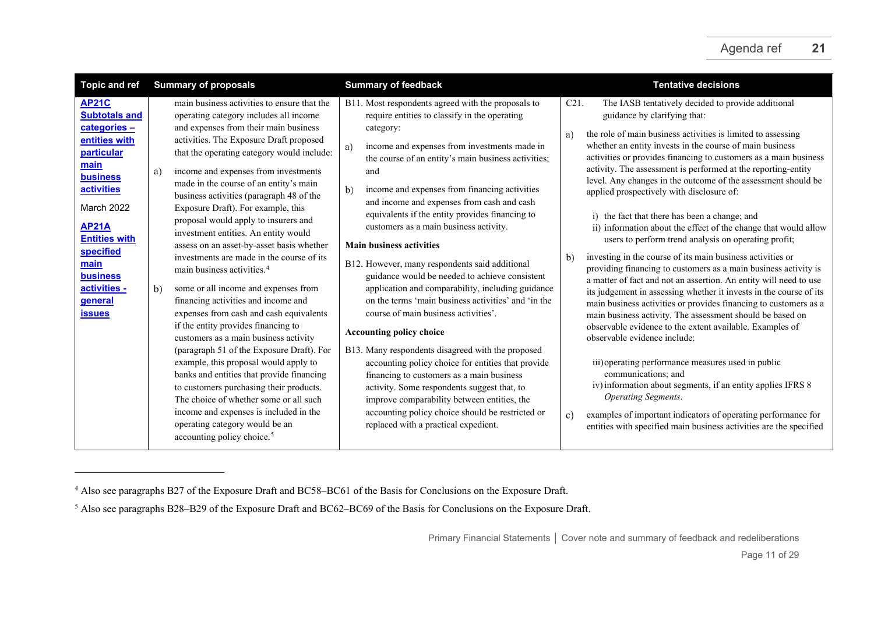<span id="page-10-1"></span><span id="page-10-0"></span>

| <b>Topic and ref</b>                                                                                                                                                                                                                                                         | <b>Summary of proposals</b>                                                                                                                                                                                                                                                                                                                                                                                                                                                                                                                                                                                                                                                                                                                                                                                                                                                                                                                                                                                                                                                                                                                                                         | <b>Summary of feedback</b>                                                                                                                                                                                                                                                                                                                                                                                                                                                                                                                                                                                                                                                                                                                                                                                                                                                                                                                                                                                                                                                                                             | <b>Tentative decisions</b>                                                                                                                                                                                                                                                                                                                                                                                                                                                                                                                                                                                                                                                                                                                                                                                                                                                                                                                                                                                                                                                                                                                                                                                                                                                                                                                                                                                                                                                                                  |
|------------------------------------------------------------------------------------------------------------------------------------------------------------------------------------------------------------------------------------------------------------------------------|-------------------------------------------------------------------------------------------------------------------------------------------------------------------------------------------------------------------------------------------------------------------------------------------------------------------------------------------------------------------------------------------------------------------------------------------------------------------------------------------------------------------------------------------------------------------------------------------------------------------------------------------------------------------------------------------------------------------------------------------------------------------------------------------------------------------------------------------------------------------------------------------------------------------------------------------------------------------------------------------------------------------------------------------------------------------------------------------------------------------------------------------------------------------------------------|------------------------------------------------------------------------------------------------------------------------------------------------------------------------------------------------------------------------------------------------------------------------------------------------------------------------------------------------------------------------------------------------------------------------------------------------------------------------------------------------------------------------------------------------------------------------------------------------------------------------------------------------------------------------------------------------------------------------------------------------------------------------------------------------------------------------------------------------------------------------------------------------------------------------------------------------------------------------------------------------------------------------------------------------------------------------------------------------------------------------|-------------------------------------------------------------------------------------------------------------------------------------------------------------------------------------------------------------------------------------------------------------------------------------------------------------------------------------------------------------------------------------------------------------------------------------------------------------------------------------------------------------------------------------------------------------------------------------------------------------------------------------------------------------------------------------------------------------------------------------------------------------------------------------------------------------------------------------------------------------------------------------------------------------------------------------------------------------------------------------------------------------------------------------------------------------------------------------------------------------------------------------------------------------------------------------------------------------------------------------------------------------------------------------------------------------------------------------------------------------------------------------------------------------------------------------------------------------------------------------------------------------|
| <b>AP21C</b><br><b>Subtotals and</b><br>categories-<br>entities with<br>particular<br>main<br><b>business</b><br><b>activities</b><br>March 2022<br><b>AP21A</b><br><b>Entities with</b><br>specified<br>main<br><b>business</b><br>activities -<br>general<br><b>issues</b> | main business activities to ensure that the<br>operating category includes all income<br>and expenses from their main business<br>activities. The Exposure Draft proposed<br>that the operating category would include:<br>income and expenses from investments<br>a)<br>made in the course of an entity's main<br>business activities (paragraph 48 of the<br>Exposure Draft). For example, this<br>proposal would apply to insurers and<br>investment entities. An entity would<br>assess on an asset-by-asset basis whether<br>investments are made in the course of its<br>main business activities. <sup>4</sup><br>b)<br>some or all income and expenses from<br>financing activities and income and<br>expenses from cash and cash equivalents<br>if the entity provides financing to<br>customers as a main business activity<br>(paragraph 51 of the Exposure Draft). For<br>example, this proposal would apply to<br>banks and entities that provide financing<br>to customers purchasing their products.<br>The choice of whether some or all such<br>income and expenses is included in the<br>operating category would be an<br>accounting policy choice. <sup>5</sup> | B11. Most respondents agreed with the proposals to<br>require entities to classify in the operating<br>category:<br>income and expenses from investments made in<br>a)<br>the course of an entity's main business activities;<br>and<br>b)<br>income and expenses from financing activities<br>and income and expenses from cash and cash<br>equivalents if the entity provides financing to<br>customers as a main business activity.<br><b>Main business activities</b><br>B12. However, many respondents said additional<br>guidance would be needed to achieve consistent<br>application and comparability, including guidance<br>on the terms 'main business activities' and 'in the<br>course of main business activities'.<br><b>Accounting policy choice</b><br>B13. Many respondents disagreed with the proposed<br>accounting policy choice for entities that provide<br>financing to customers as a main business<br>activity. Some respondents suggest that, to<br>improve comparability between entities, the<br>accounting policy choice should be restricted or<br>replaced with a practical expedient. | The IASB tentatively decided to provide additional<br>C21.<br>guidance by clarifying that:<br>the role of main business activities is limited to assessing<br>a)<br>whether an entity invests in the course of main business<br>activities or provides financing to customers as a main business<br>activity. The assessment is performed at the reporting-entity<br>level. Any changes in the outcome of the assessment should be<br>applied prospectively with disclosure of:<br>i) the fact that there has been a change; and<br>ii) information about the effect of the change that would allow<br>users to perform trend analysis on operating profit;<br>investing in the course of its main business activities or<br>b)<br>providing financing to customers as a main business activity is<br>a matter of fact and not an assertion. An entity will need to use<br>its judgement in assessing whether it invests in the course of its<br>main business activities or provides financing to customers as a<br>main business activity. The assessment should be based on<br>observable evidence to the extent available. Examples of<br>observable evidence include:<br>iii) operating performance measures used in public<br>communications; and<br>iv) information about segments, if an entity applies IFRS 8<br><b>Operating Segments.</b><br>examples of important indicators of operating performance for<br>$\mathbf{c}$<br>entities with specified main business activities are the specified |

<sup>4</sup> Also see paragraphs B27 of the Exposure Draft and BC58–BC61 of the Basis for Conclusions on the Exposure Draft.

<sup>&</sup>lt;sup>5</sup> Also see paragraphs B28–B29 of the Exposure Draft and BC62–BC69 of the Basis for Conclusions on the Exposure Draft.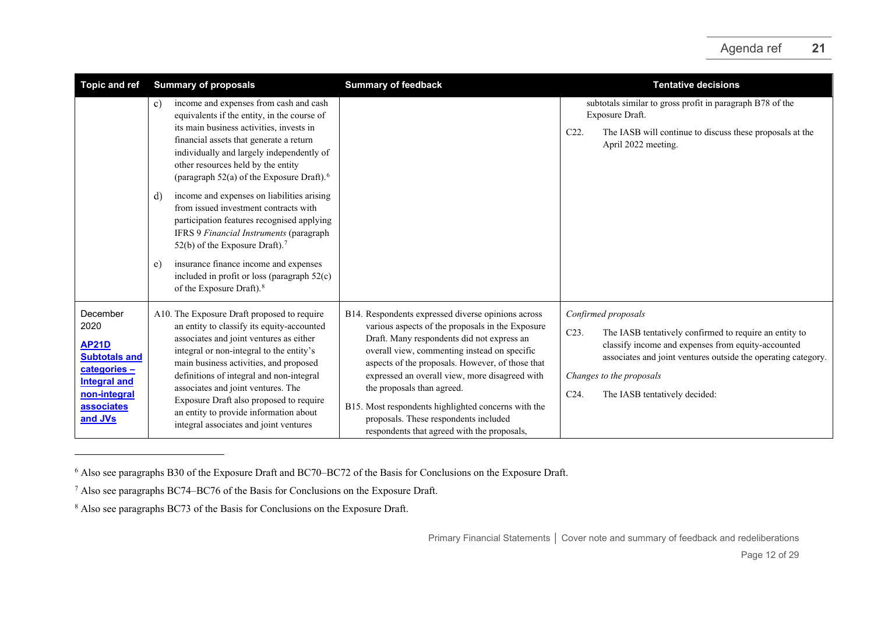<span id="page-11-2"></span><span id="page-11-1"></span><span id="page-11-0"></span>

| Topic and ref                                                                                                                            | <b>Summary of proposals</b>                                                                                                                                                                                                                                                                                                                                                                                                                                                                                                                                                                                                                                                                                | <b>Summary of feedback</b>                                                                                                                                                                                                                                                                                                                                                                                                                                                              | <b>Tentative decisions</b>                                                                                                                                                                                                                                                           |  |
|------------------------------------------------------------------------------------------------------------------------------------------|------------------------------------------------------------------------------------------------------------------------------------------------------------------------------------------------------------------------------------------------------------------------------------------------------------------------------------------------------------------------------------------------------------------------------------------------------------------------------------------------------------------------------------------------------------------------------------------------------------------------------------------------------------------------------------------------------------|-----------------------------------------------------------------------------------------------------------------------------------------------------------------------------------------------------------------------------------------------------------------------------------------------------------------------------------------------------------------------------------------------------------------------------------------------------------------------------------------|--------------------------------------------------------------------------------------------------------------------------------------------------------------------------------------------------------------------------------------------------------------------------------------|--|
|                                                                                                                                          | income and expenses from cash and cash<br>c)<br>equivalents if the entity, in the course of<br>its main business activities, invests in<br>financial assets that generate a return<br>individually and largely independently of<br>other resources held by the entity<br>(paragraph $52(a)$ of the Exposure Draft). <sup>6</sup><br>income and expenses on liabilities arising<br>d)<br>from issued investment contracts with<br>participation features recognised applying<br>IFRS 9 Financial Instruments (paragraph<br>52(b) of the Exposure Draft). <sup>7</sup><br>insurance finance income and expenses<br>e)<br>included in profit or loss (paragraph 52(c)<br>of the Exposure Draft). <sup>8</sup> |                                                                                                                                                                                                                                                                                                                                                                                                                                                                                         | subtotals similar to gross profit in paragraph B78 of the<br>Exposure Draft.<br>C22.<br>The IASB will continue to discuss these proposals at the<br>April 2022 meeting.                                                                                                              |  |
| December<br>2020<br><b>AP21D</b><br><b>Subtotals and</b><br>categories -<br><b>Integral and</b><br>non-integral<br>associates<br>and JVs | A10. The Exposure Draft proposed to require<br>an entity to classify its equity-accounted<br>associates and joint ventures as either<br>integral or non-integral to the entity's<br>main business activities, and proposed<br>definitions of integral and non-integral<br>associates and joint ventures. The<br>Exposure Draft also proposed to require<br>an entity to provide information about<br>integral associates and joint ventures                                                                                                                                                                                                                                                                | B14. Respondents expressed diverse opinions across<br>various aspects of the proposals in the Exposure<br>Draft. Many respondents did not express an<br>overall view, commenting instead on specific<br>aspects of the proposals. However, of those that<br>expressed an overall view, more disagreed with<br>the proposals than agreed.<br>B15. Most respondents highlighted concerns with the<br>proposals. These respondents included<br>respondents that agreed with the proposals, | Confirmed proposals<br>C23.<br>The IASB tentatively confirmed to require an entity to<br>classify income and expenses from equity-accounted<br>associates and joint ventures outside the operating category.<br>Changes to the proposals<br>$C24$ .<br>The IASB tentatively decided: |  |

<sup>6</sup> Also see paragraphs B30 of the Exposure Draft and BC70–BC72 of the Basis for Conclusions on the Exposure Draft.

<sup>7</sup> Also see paragraphs BC74–BC76 of the Basis for Conclusions on the Exposure Draft.

<sup>&</sup>lt;sup>8</sup> Also see paragraphs BC73 of the Basis for Conclusions on the Exposure Draft.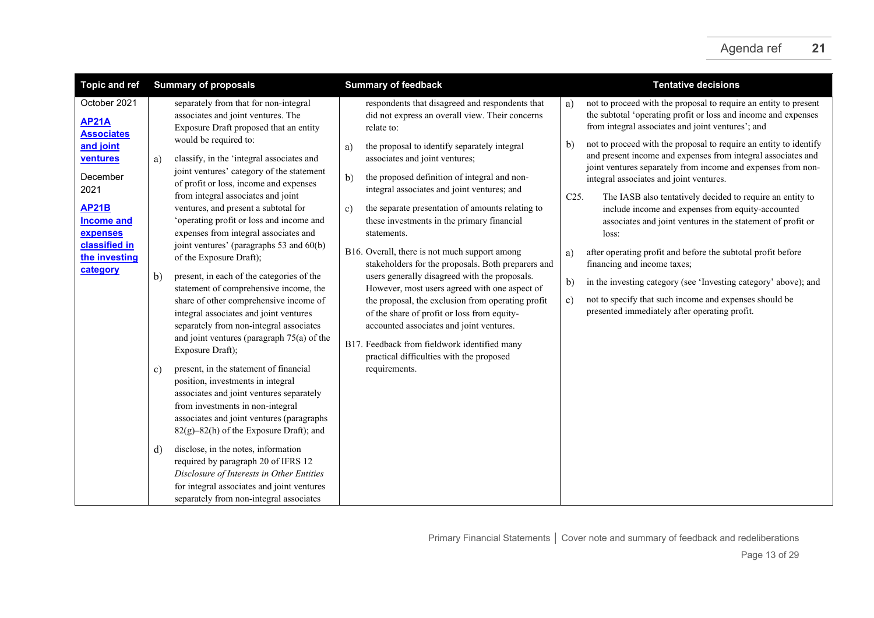| <b>Topic and ref</b>                                                                                                                     | <b>Summary of proposals</b>                                                                                                                                                                                                                                                                                                                                                                                                                                                                                                                                                                                                                                                                                                                                                                                       | <b>Summary of feedback</b>                                                                                                                                                                                                                                                                                                                                                                                                                                                                                                                                                                                                                                                                                                                                                             | <b>Tentative decisions</b>                                                                                                                                                                                                                                                                                                                                                                                                                                                                                                                                                                                                                                                                                                                                                   |
|------------------------------------------------------------------------------------------------------------------------------------------|-------------------------------------------------------------------------------------------------------------------------------------------------------------------------------------------------------------------------------------------------------------------------------------------------------------------------------------------------------------------------------------------------------------------------------------------------------------------------------------------------------------------------------------------------------------------------------------------------------------------------------------------------------------------------------------------------------------------------------------------------------------------------------------------------------------------|----------------------------------------------------------------------------------------------------------------------------------------------------------------------------------------------------------------------------------------------------------------------------------------------------------------------------------------------------------------------------------------------------------------------------------------------------------------------------------------------------------------------------------------------------------------------------------------------------------------------------------------------------------------------------------------------------------------------------------------------------------------------------------------|------------------------------------------------------------------------------------------------------------------------------------------------------------------------------------------------------------------------------------------------------------------------------------------------------------------------------------------------------------------------------------------------------------------------------------------------------------------------------------------------------------------------------------------------------------------------------------------------------------------------------------------------------------------------------------------------------------------------------------------------------------------------------|
| October 2021<br><b>AP21A</b><br><b>Associates</b>                                                                                        | separately from that for non-integral<br>associates and joint ventures. The<br>Exposure Draft proposed that an entity<br>would be required to:                                                                                                                                                                                                                                                                                                                                                                                                                                                                                                                                                                                                                                                                    | respondents that disagreed and respondents that<br>did not express an overall view. Their concerns<br>relate to:                                                                                                                                                                                                                                                                                                                                                                                                                                                                                                                                                                                                                                                                       | not to proceed with the proposal to require an entity to present<br>a)<br>the subtotal 'operating profit or loss and income and expenses<br>from integral associates and joint ventures'; and                                                                                                                                                                                                                                                                                                                                                                                                                                                                                                                                                                                |
| and joint<br>ventures<br>December<br>2021<br><b>AP21B</b><br><b>Income and</b><br>expenses<br>classified in<br>the investing<br>category | classify, in the 'integral associates and<br>a)<br>joint ventures' category of the statement<br>of profit or loss, income and expenses<br>from integral associates and joint<br>ventures, and present a subtotal for<br>'operating profit or loss and income and<br>expenses from integral associates and<br>joint ventures' (paragraphs 53 and 60(b)<br>of the Exposure Draft);<br>b)<br>present, in each of the categories of the<br>statement of comprehensive income, the<br>share of other comprehensive income of<br>integral associates and joint ventures<br>separately from non-integral associates<br>and joint ventures (paragraph $75(a)$ of the<br>Exposure Draft);<br>present, in the statement of financial<br>c)<br>position, investments in integral<br>associates and joint ventures separately | the proposal to identify separately integral<br>a)<br>associates and joint ventures;<br>b)<br>the proposed definition of integral and non-<br>integral associates and joint ventures; and<br>the separate presentation of amounts relating to<br>c)<br>these investments in the primary financial<br>statements.<br>B16. Overall, there is not much support among<br>stakeholders for the proposals. Both preparers and<br>users generally disagreed with the proposals.<br>However, most users agreed with one aspect of<br>the proposal, the exclusion from operating profit<br>of the share of profit or loss from equity-<br>accounted associates and joint ventures.<br>B17. Feedback from fieldwork identified many<br>practical difficulties with the proposed<br>requirements. | not to proceed with the proposal to require an entity to identify<br>b)<br>and present income and expenses from integral associates and<br>joint ventures separately from income and expenses from non-<br>integral associates and joint ventures.<br>C <sub>25</sub> .<br>The IASB also tentatively decided to require an entity to<br>include income and expenses from equity-accounted<br>associates and joint ventures in the statement of profit or<br>loss:<br>after operating profit and before the subtotal profit before<br>a)<br>financing and income taxes;<br>in the investing category (see 'Investing category' above); and<br>b)<br>not to specify that such income and expenses should be<br>$\mathbf{c}$ )<br>presented immediately after operating profit. |
|                                                                                                                                          | from investments in non-integral<br>associates and joint ventures (paragraphs<br>82(g)-82(h) of the Exposure Draft); and<br>disclose, in the notes, information<br>d)<br>required by paragraph 20 of IFRS 12<br>Disclosure of Interests in Other Entities<br>for integral associates and joint ventures<br>separately from non-integral associates                                                                                                                                                                                                                                                                                                                                                                                                                                                                |                                                                                                                                                                                                                                                                                                                                                                                                                                                                                                                                                                                                                                                                                                                                                                                        |                                                                                                                                                                                                                                                                                                                                                                                                                                                                                                                                                                                                                                                                                                                                                                              |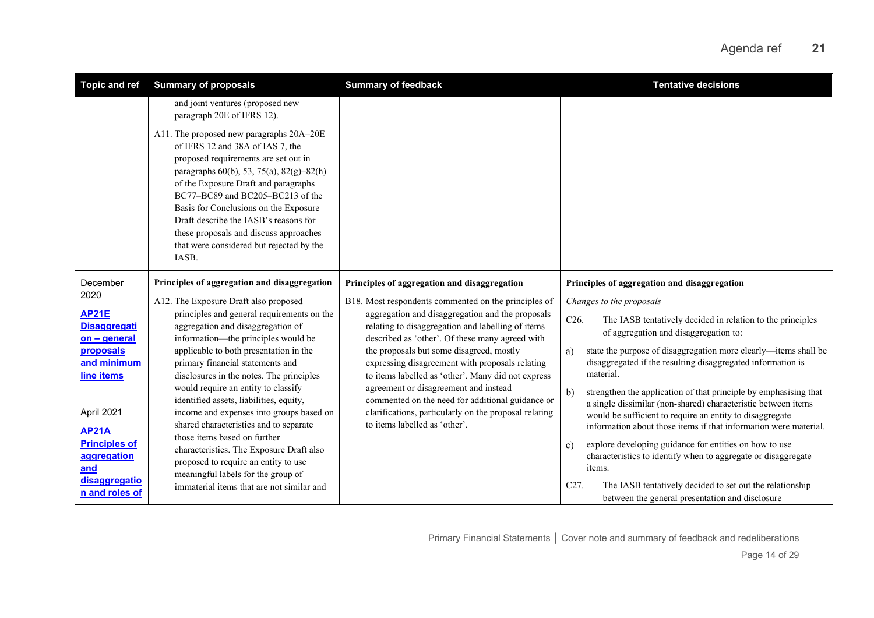| <b>Topic and ref</b>                                | <b>Summary of proposals</b>                                                                                                                                                                                                                                                                                                                                                                                                   | <b>Summary of feedback</b>                                                                                                                                                          | <b>Tentative decisions</b>                                                                                                                                                                                                                                                        |
|-----------------------------------------------------|-------------------------------------------------------------------------------------------------------------------------------------------------------------------------------------------------------------------------------------------------------------------------------------------------------------------------------------------------------------------------------------------------------------------------------|-------------------------------------------------------------------------------------------------------------------------------------------------------------------------------------|-----------------------------------------------------------------------------------------------------------------------------------------------------------------------------------------------------------------------------------------------------------------------------------|
|                                                     | and joint ventures (proposed new<br>paragraph 20E of IFRS 12).                                                                                                                                                                                                                                                                                                                                                                |                                                                                                                                                                                     |                                                                                                                                                                                                                                                                                   |
|                                                     | A11. The proposed new paragraphs 20A-20E<br>of IFRS 12 and 38A of IAS 7, the<br>proposed requirements are set out in<br>paragraphs 60(b), 53, 75(a), 82(g)-82(h)<br>of the Exposure Draft and paragraphs<br>BC77-BC89 and BC205-BC213 of the<br>Basis for Conclusions on the Exposure<br>Draft describe the IASB's reasons for<br>these proposals and discuss approaches<br>that were considered but rejected by the<br>IASB. |                                                                                                                                                                                     |                                                                                                                                                                                                                                                                                   |
| December                                            | Principles of aggregation and disaggregation                                                                                                                                                                                                                                                                                                                                                                                  | Principles of aggregation and disaggregation                                                                                                                                        | Principles of aggregation and disaggregation                                                                                                                                                                                                                                      |
| 2020                                                | A12. The Exposure Draft also proposed                                                                                                                                                                                                                                                                                                                                                                                         | B18. Most respondents commented on the principles of                                                                                                                                | Changes to the proposals                                                                                                                                                                                                                                                          |
| <b>AP21E</b><br><b>Disaggregati</b><br>on - general | principles and general requirements on the<br>aggregation and disaggregation of<br>information—the principles would be                                                                                                                                                                                                                                                                                                        | aggregation and disaggregation and the proposals<br>relating to disaggregation and labelling of items<br>described as 'other'. Of these many agreed with                            | C <sub>26</sub> .<br>The IASB tentatively decided in relation to the principles<br>of aggregation and disaggregation to:                                                                                                                                                          |
| proposals<br>and minimum<br>line items              | applicable to both presentation in the<br>primary financial statements and<br>disclosures in the notes. The principles                                                                                                                                                                                                                                                                                                        | the proposals but some disagreed, mostly<br>expressing disagreement with proposals relating<br>to items labelled as 'other'. Many did not express                                   | state the purpose of disaggregation more clearly—items shall be<br>a)<br>disaggregated if the resulting disaggregated information is<br>material.                                                                                                                                 |
| April 2021<br><b>AP21A</b>                          | would require an entity to classify<br>identified assets, liabilities, equity,<br>income and expenses into groups based on<br>shared characteristics and to separate                                                                                                                                                                                                                                                          | agreement or disagreement and instead<br>commented on the need for additional guidance or<br>clarifications, particularly on the proposal relating<br>to items labelled as 'other'. | $\mathbf{b}$<br>strengthen the application of that principle by emphasising that<br>a single dissimilar (non-shared) characteristic between items<br>would be sufficient to require an entity to disaggregate<br>information about those items if that information were material. |
| <b>Principles of</b><br>aggregation<br>and          | those items based on further<br>characteristics. The Exposure Draft also<br>proposed to require an entity to use<br>meaningful labels for the group of                                                                                                                                                                                                                                                                        |                                                                                                                                                                                     | explore developing guidance for entities on how to use<br>c)<br>characteristics to identify when to aggregate or disaggregate<br>items.                                                                                                                                           |
| disaggregatio<br>n and roles of                     | immaterial items that are not similar and                                                                                                                                                                                                                                                                                                                                                                                     |                                                                                                                                                                                     | C <sub>27</sub> .<br>The IASB tentatively decided to set out the relationship<br>between the general presentation and disclosure                                                                                                                                                  |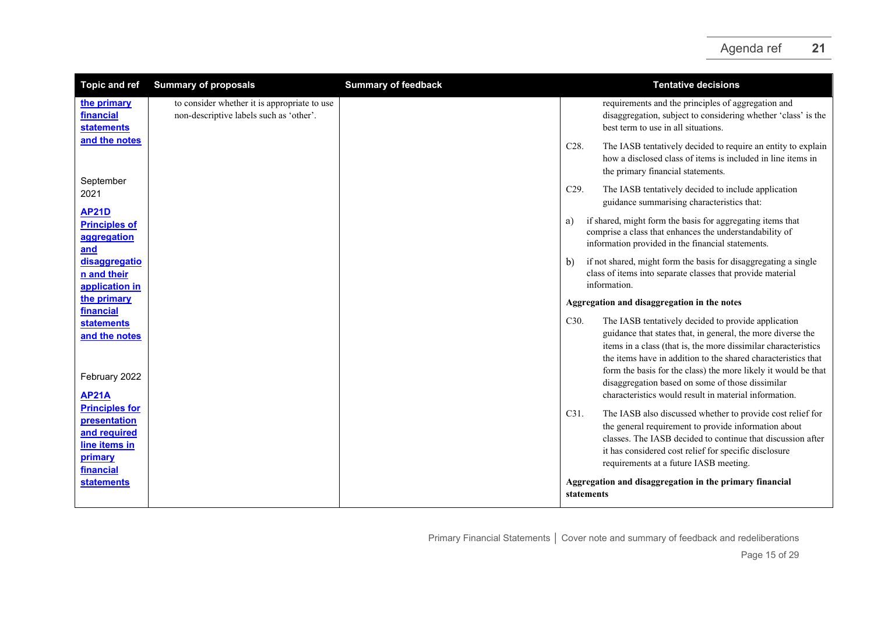| <b>Topic and ref</b>                                                                                  | <b>Summary of proposals</b>                                                             | <b>Summary of feedback</b> | <b>Tentative decisions</b>                                                                                                                                                                                                                                                                                                                                                          |
|-------------------------------------------------------------------------------------------------------|-----------------------------------------------------------------------------------------|----------------------------|-------------------------------------------------------------------------------------------------------------------------------------------------------------------------------------------------------------------------------------------------------------------------------------------------------------------------------------------------------------------------------------|
| the primary<br>financial<br><b>statements</b>                                                         | to consider whether it is appropriate to use<br>non-descriptive labels such as 'other'. |                            | requirements and the principles of aggregation and<br>disaggregation, subject to considering whether 'class' is the<br>best term to use in all situations.                                                                                                                                                                                                                          |
| and the notes                                                                                         |                                                                                         |                            | C28.<br>The IASB tentatively decided to require an entity to explain<br>how a disclosed class of items is included in line items in<br>the primary financial statements.                                                                                                                                                                                                            |
| September<br>2021                                                                                     |                                                                                         |                            | C29.<br>The IASB tentatively decided to include application<br>guidance summarising characteristics that:                                                                                                                                                                                                                                                                           |
| <b>AP21D</b><br><b>Principles of</b><br>aggregation<br>and                                            |                                                                                         |                            | if shared, might form the basis for aggregating items that<br>a)<br>comprise a class that enhances the understandability of<br>information provided in the financial statements.                                                                                                                                                                                                    |
| disaggregatio<br>n and their<br>application in                                                        |                                                                                         |                            | if not shared, might form the basis for disaggregating a single<br>b)<br>class of items into separate classes that provide material<br>information.                                                                                                                                                                                                                                 |
| the primary<br><b>financial</b>                                                                       |                                                                                         |                            | Aggregation and disaggregation in the notes                                                                                                                                                                                                                                                                                                                                         |
| <b>statements</b><br>and the notes<br>February 2022                                                   |                                                                                         |                            | C30.<br>The IASB tentatively decided to provide application<br>guidance that states that, in general, the more diverse the<br>items in a class (that is, the more dissimilar characteristics<br>the items have in addition to the shared characteristics that<br>form the basis for the class) the more likely it would be that<br>disaggregation based on some of those dissimilar |
| <b>AP21A</b>                                                                                          |                                                                                         |                            | characteristics would result in material information.                                                                                                                                                                                                                                                                                                                               |
| <b>Principles for</b><br>presentation<br>and required<br>line items in<br><u>primary</u><br>financial |                                                                                         |                            | C31.<br>The IASB also discussed whether to provide cost relief for<br>the general requirement to provide information about<br>classes. The JASB decided to continue that discussion after<br>it has considered cost relief for specific disclosure<br>requirements at a future IASB meeting.                                                                                        |
| <b>statements</b>                                                                                     |                                                                                         |                            | Aggregation and disaggregation in the primary financial<br>statements                                                                                                                                                                                                                                                                                                               |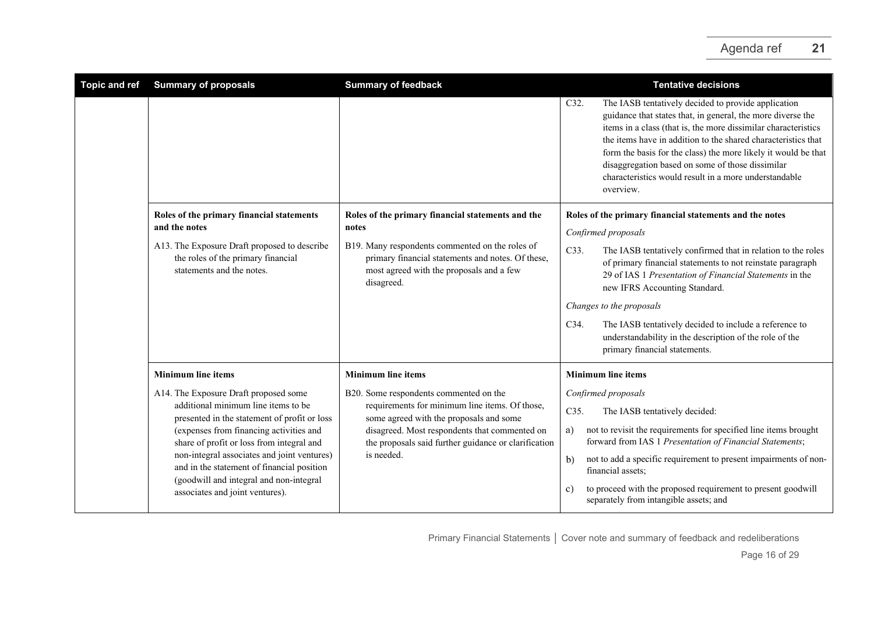| <b>Topic and ref</b> | <b>Summary of proposals</b>                                                                                                                                                                                                                                                                                                                                                                     | <b>Summary of feedback</b>                                                                                                                                                                                                                                 | <b>Tentative decisions</b>                                                                                                                                                                                                                                                                                                                                                                                                                                |
|----------------------|-------------------------------------------------------------------------------------------------------------------------------------------------------------------------------------------------------------------------------------------------------------------------------------------------------------------------------------------------------------------------------------------------|------------------------------------------------------------------------------------------------------------------------------------------------------------------------------------------------------------------------------------------------------------|-----------------------------------------------------------------------------------------------------------------------------------------------------------------------------------------------------------------------------------------------------------------------------------------------------------------------------------------------------------------------------------------------------------------------------------------------------------|
|                      |                                                                                                                                                                                                                                                                                                                                                                                                 |                                                                                                                                                                                                                                                            | The IASB tentatively decided to provide application<br>C32.<br>guidance that states that, in general, the more diverse the<br>items in a class (that is, the more dissimilar characteristics<br>the items have in addition to the shared characteristics that<br>form the basis for the class) the more likely it would be that<br>disaggregation based on some of those dissimilar<br>characteristics would result in a more understandable<br>overview. |
|                      | Roles of the primary financial statements<br>and the notes                                                                                                                                                                                                                                                                                                                                      | Roles of the primary financial statements and the<br>notes                                                                                                                                                                                                 | Roles of the primary financial statements and the notes                                                                                                                                                                                                                                                                                                                                                                                                   |
|                      | A13. The Exposure Draft proposed to describe<br>the roles of the primary financial<br>statements and the notes.                                                                                                                                                                                                                                                                                 | B19. Many respondents commented on the roles of<br>primary financial statements and notes. Of these,<br>most agreed with the proposals and a few<br>disagreed.                                                                                             | Confirmed proposals<br>C33.<br>The IASB tentatively confirmed that in relation to the roles<br>of primary financial statements to not reinstate paragraph<br>29 of IAS 1 Presentation of Financial Statements in the<br>new IFRS Accounting Standard.                                                                                                                                                                                                     |
|                      |                                                                                                                                                                                                                                                                                                                                                                                                 |                                                                                                                                                                                                                                                            | Changes to the proposals                                                                                                                                                                                                                                                                                                                                                                                                                                  |
|                      |                                                                                                                                                                                                                                                                                                                                                                                                 |                                                                                                                                                                                                                                                            | C34.<br>The IASB tentatively decided to include a reference to<br>understandability in the description of the role of the<br>primary financial statements.                                                                                                                                                                                                                                                                                                |
|                      | <b>Minimum line items</b>                                                                                                                                                                                                                                                                                                                                                                       | <b>Minimum line items</b>                                                                                                                                                                                                                                  | <b>Minimum line items</b>                                                                                                                                                                                                                                                                                                                                                                                                                                 |
|                      | A14. The Exposure Draft proposed some<br>additional minimum line items to be<br>presented in the statement of profit or loss<br>(expenses from financing activities and<br>share of profit or loss from integral and<br>non-integral associates and joint ventures)<br>and in the statement of financial position<br>(goodwill and integral and non-integral<br>associates and joint ventures). | B20. Some respondents commented on the<br>requirements for minimum line items. Of those,<br>some agreed with the proposals and some<br>disagreed. Most respondents that commented on<br>the proposals said further guidance or clarification<br>is needed. | Confirmed proposals<br>C35.<br>The IASB tentatively decided:<br>not to revisit the requirements for specified line items brought<br>a)<br>forward from IAS 1 Presentation of Financial Statements;<br>not to add a specific requirement to present impairments of non-<br>b)<br>financial assets;<br>to proceed with the proposed requirement to present goodwill<br>c)<br>separately from intangible assets; and                                         |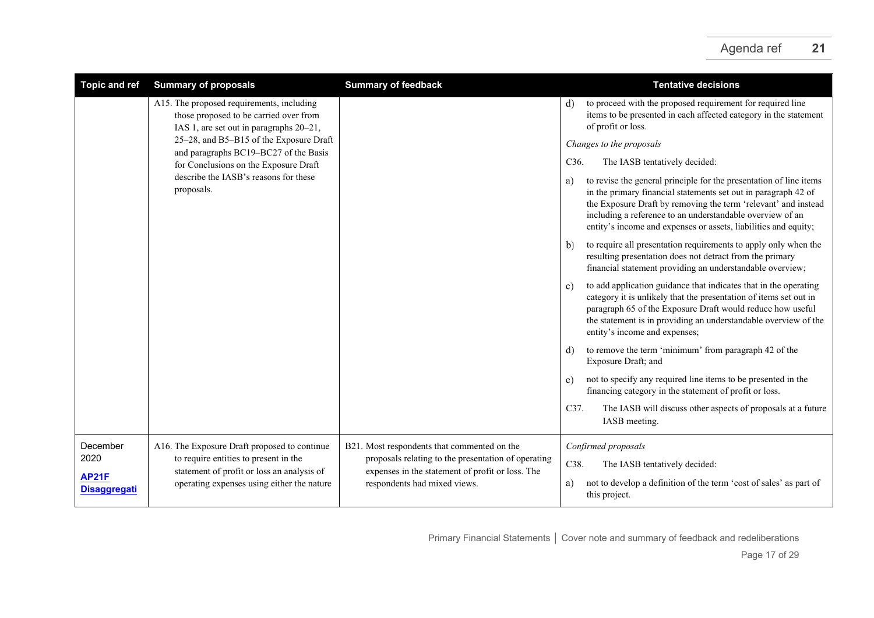| <b>Topic and ref</b>                | <b>Summary of proposals</b>                                                         | <b>Summary of feedback</b>                                                                              | <b>Tentative decisions</b>                                                                                                                                                                                                                                                                                                                   |
|-------------------------------------|-------------------------------------------------------------------------------------|---------------------------------------------------------------------------------------------------------|----------------------------------------------------------------------------------------------------------------------------------------------------------------------------------------------------------------------------------------------------------------------------------------------------------------------------------------------|
|                                     | A15. The proposed requirements, including<br>those proposed to be carried over from | IAS 1, are set out in paragraphs 20-21,<br>and paragraphs BC19-BC27 of the Basis                        | to proceed with the proposed requirement for required line<br>d)<br>items to be presented in each affected category in the statement<br>of profit or loss.                                                                                                                                                                                   |
|                                     | 25-28, and B5-B15 of the Exposure Draft                                             |                                                                                                         | Changes to the proposals                                                                                                                                                                                                                                                                                                                     |
|                                     | for Conclusions on the Exposure Draft                                               |                                                                                                         | The IASB tentatively decided:<br>C <sub>36</sub> .                                                                                                                                                                                                                                                                                           |
|                                     | describe the IASB's reasons for these<br>proposals.                                 |                                                                                                         | to revise the general principle for the presentation of line items<br>a)<br>in the primary financial statements set out in paragraph 42 of<br>the Exposure Draft by removing the term 'relevant' and instead<br>including a reference to an understandable overview of an<br>entity's income and expenses or assets, liabilities and equity; |
|                                     |                                                                                     |                                                                                                         | to require all presentation requirements to apply only when the<br>b)<br>resulting presentation does not detract from the primary<br>financial statement providing an understandable overview;                                                                                                                                               |
|                                     |                                                                                     |                                                                                                         | to add application guidance that indicates that in the operating<br>c)<br>category it is unlikely that the presentation of items set out in<br>paragraph 65 of the Exposure Draft would reduce how useful<br>the statement is in providing an understandable overview of the<br>entity's income and expenses;                                |
|                                     |                                                                                     |                                                                                                         | to remove the term 'minimum' from paragraph 42 of the<br>d)<br>Exposure Draft; and                                                                                                                                                                                                                                                           |
|                                     |                                                                                     |                                                                                                         | not to specify any required line items to be presented in the<br>e)<br>financing category in the statement of profit or loss.                                                                                                                                                                                                                |
|                                     |                                                                                     |                                                                                                         | C37.<br>The IASB will discuss other aspects of proposals at a future<br>IASB meeting.                                                                                                                                                                                                                                                        |
| December                            | A16. The Exposure Draft proposed to continue                                        | B21. Most respondents that commented on the                                                             | Confirmed proposals                                                                                                                                                                                                                                                                                                                          |
| 2020                                | to require entities to present in the<br>statement of profit or loss an analysis of | proposals relating to the presentation of operating<br>expenses in the statement of profit or loss. The | C38.<br>The IASB tentatively decided:                                                                                                                                                                                                                                                                                                        |
| <b>AP21F</b><br><b>Disaggregati</b> | operating expenses using either the nature                                          | respondents had mixed views.                                                                            | not to develop a definition of the term 'cost of sales' as part of<br>a)<br>this project.                                                                                                                                                                                                                                                    |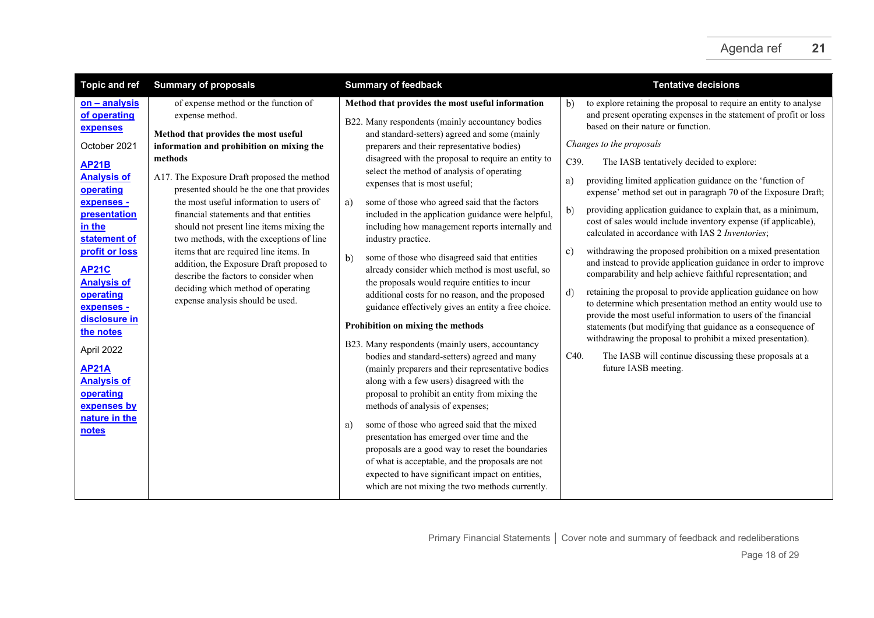| <b>Topic and ref</b>                                                                                                                                                                                                                                                                                                                                                                            | <b>Summary of proposals</b>                                                                                                                                                                                                                                                                                                                                                                                                                                                                                                                                                                                                               | <b>Summary of feedback</b>                                                                                                                                                                                                                                                                                                                                                                                                                                                                                                                                                                                                                                                                                                                                                                                                                                                                                                                                                                                                                                                                                                                                                                                                                                                                                                                                                                                                                                    | <b>Tentative decisions</b>                                                                                                                                                                                                                                                                                                                                                                                                                                                                                                                                                                                                                                                                                                                                                                                                                                                                                                                                                                                                                                                                                                                                                                                                                                  |
|-------------------------------------------------------------------------------------------------------------------------------------------------------------------------------------------------------------------------------------------------------------------------------------------------------------------------------------------------------------------------------------------------|-------------------------------------------------------------------------------------------------------------------------------------------------------------------------------------------------------------------------------------------------------------------------------------------------------------------------------------------------------------------------------------------------------------------------------------------------------------------------------------------------------------------------------------------------------------------------------------------------------------------------------------------|---------------------------------------------------------------------------------------------------------------------------------------------------------------------------------------------------------------------------------------------------------------------------------------------------------------------------------------------------------------------------------------------------------------------------------------------------------------------------------------------------------------------------------------------------------------------------------------------------------------------------------------------------------------------------------------------------------------------------------------------------------------------------------------------------------------------------------------------------------------------------------------------------------------------------------------------------------------------------------------------------------------------------------------------------------------------------------------------------------------------------------------------------------------------------------------------------------------------------------------------------------------------------------------------------------------------------------------------------------------------------------------------------------------------------------------------------------------|-------------------------------------------------------------------------------------------------------------------------------------------------------------------------------------------------------------------------------------------------------------------------------------------------------------------------------------------------------------------------------------------------------------------------------------------------------------------------------------------------------------------------------------------------------------------------------------------------------------------------------------------------------------------------------------------------------------------------------------------------------------------------------------------------------------------------------------------------------------------------------------------------------------------------------------------------------------------------------------------------------------------------------------------------------------------------------------------------------------------------------------------------------------------------------------------------------------------------------------------------------------|
| on - analysis<br>of operating<br>expenses<br>October 2021<br><b>AP21B</b><br><b>Analysis of</b><br>operating<br>expenses -<br>presentation<br>in the<br>statement of<br>profit or loss<br><b>AP21C</b><br><b>Analysis of</b><br>operating<br>expenses -<br>disclosure in<br>the notes<br>April 2022<br><b>AP21A</b><br><b>Analysis of</b><br>operating<br>expenses by<br>nature in the<br>notes | of expense method or the function of<br>expense method.<br>Method that provides the most useful<br>information and prohibition on mixing the<br>methods<br>A17. The Exposure Draft proposed the method<br>presented should be the one that provides<br>the most useful information to users of<br>financial statements and that entities<br>should not present line items mixing the<br>two methods, with the exceptions of line<br>items that are required line items. In<br>addition, the Exposure Draft proposed to<br>describe the factors to consider when<br>deciding which method of operating<br>expense analysis should be used. | Method that provides the most useful information<br>B22. Many respondents (mainly accountancy bodies<br>and standard-setters) agreed and some (mainly<br>preparers and their representative bodies)<br>disagreed with the proposal to require an entity to<br>select the method of analysis of operating<br>expenses that is most useful;<br>some of those who agreed said that the factors<br>a)<br>included in the application guidance were helpful,<br>including how management reports internally and<br>industry practice.<br>some of those who disagreed said that entities<br>b)<br>already consider which method is most useful, so<br>the proposals would require entities to incur<br>additional costs for no reason, and the proposed<br>guidance effectively gives an entity a free choice.<br>Prohibition on mixing the methods<br>B23. Many respondents (mainly users, accountancy<br>bodies and standard-setters) agreed and many<br>(mainly preparers and their representative bodies<br>along with a few users) disagreed with the<br>proposal to prohibit an entity from mixing the<br>methods of analysis of expenses;<br>some of those who agreed said that the mixed<br>a)<br>presentation has emerged over time and the<br>proposals are a good way to reset the boundaries<br>of what is acceptable, and the proposals are not<br>expected to have significant impact on entities,<br>which are not mixing the two methods currently. | to explore retaining the proposal to require an entity to analyse<br>b)<br>and present operating expenses in the statement of profit or loss<br>based on their nature or function.<br>Changes to the proposals<br>C39.<br>The IASB tentatively decided to explore:<br>providing limited application guidance on the 'function of<br>a)<br>expense' method set out in paragraph 70 of the Exposure Draft;<br>providing application guidance to explain that, as a minimum,<br>b)<br>cost of sales would include inventory expense (if applicable),<br>calculated in accordance with IAS 2 Inventories;<br>withdrawing the proposed prohibition on a mixed presentation<br>c)<br>and instead to provide application guidance in order to improve<br>comparability and help achieve faithful representation; and<br>retaining the proposal to provide application guidance on how<br>d)<br>to determine which presentation method an entity would use to<br>provide the most useful information to users of the financial<br>statements (but modifying that guidance as a consequence of<br>withdrawing the proposal to prohibit a mixed presentation).<br>The IASB will continue discussing these proposals at a<br>C <sub>40</sub> .<br>future IASB meeting. |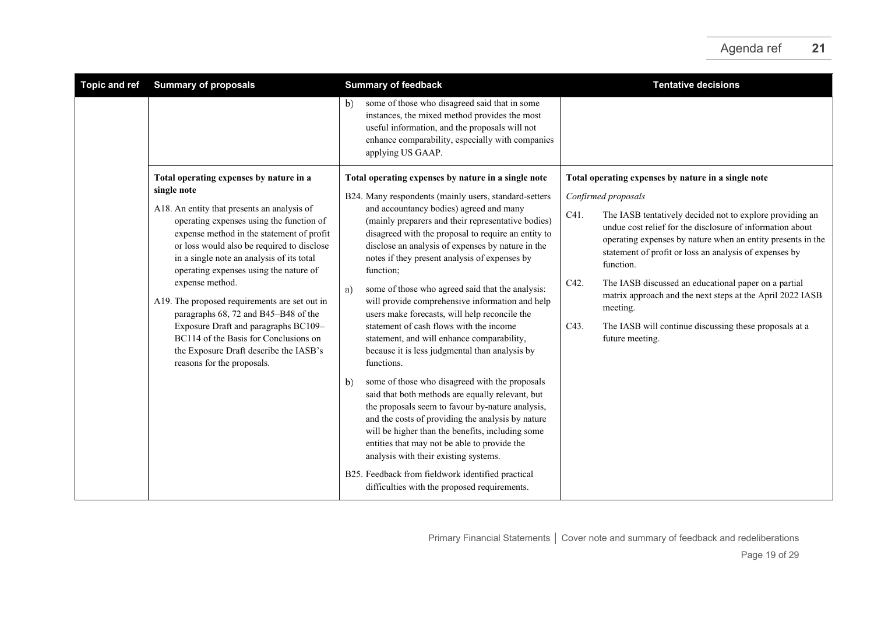| <b>Topic and ref</b> | <b>Summary of proposals</b>                                                                                                                                                                                                                                                                                                                                                                                                                                                                                                                    | <b>Summary of feedback</b>                                                                                                                                                                                                                                                                                                                                                                                                                                                                                                                                                                     | <b>Tentative decisions</b>                                                                                                                                                                                                                                                                                                                                                                                                                                                                        |
|----------------------|------------------------------------------------------------------------------------------------------------------------------------------------------------------------------------------------------------------------------------------------------------------------------------------------------------------------------------------------------------------------------------------------------------------------------------------------------------------------------------------------------------------------------------------------|------------------------------------------------------------------------------------------------------------------------------------------------------------------------------------------------------------------------------------------------------------------------------------------------------------------------------------------------------------------------------------------------------------------------------------------------------------------------------------------------------------------------------------------------------------------------------------------------|---------------------------------------------------------------------------------------------------------------------------------------------------------------------------------------------------------------------------------------------------------------------------------------------------------------------------------------------------------------------------------------------------------------------------------------------------------------------------------------------------|
|                      |                                                                                                                                                                                                                                                                                                                                                                                                                                                                                                                                                | some of those who disagreed said that in some<br>b)<br>instances, the mixed method provides the most<br>useful information, and the proposals will not<br>enhance comparability, especially with companies<br>applying US GAAP.                                                                                                                                                                                                                                                                                                                                                                |                                                                                                                                                                                                                                                                                                                                                                                                                                                                                                   |
|                      | Total operating expenses by nature in a                                                                                                                                                                                                                                                                                                                                                                                                                                                                                                        | Total operating expenses by nature in a single note                                                                                                                                                                                                                                                                                                                                                                                                                                                                                                                                            | Total operating expenses by nature in a single note                                                                                                                                                                                                                                                                                                                                                                                                                                               |
|                      | single note                                                                                                                                                                                                                                                                                                                                                                                                                                                                                                                                    | B24. Many respondents (mainly users, standard-setters                                                                                                                                                                                                                                                                                                                                                                                                                                                                                                                                          | Confirmed proposals                                                                                                                                                                                                                                                                                                                                                                                                                                                                               |
|                      | A18. An entity that presents an analysis of<br>operating expenses using the function of<br>expense method in the statement of profit<br>or loss would also be required to disclose<br>in a single note an analysis of its total<br>operating expenses using the nature of<br>expense method.<br>A19. The proposed requirements are set out in<br>paragraphs 68, 72 and B45-B48 of the<br>Exposure Draft and paragraphs BC109-<br>BC114 of the Basis for Conclusions on<br>the Exposure Draft describe the IASB's<br>reasons for the proposals. | and accountancy bodies) agreed and many<br>(mainly preparers and their representative bodies)<br>disagreed with the proposal to require an entity to<br>disclose an analysis of expenses by nature in the<br>notes if they present analysis of expenses by<br>function;<br>some of those who agreed said that the analysis:<br>a)<br>will provide comprehensive information and help<br>users make forecasts, will help reconcile the<br>statement of cash flows with the income<br>statement, and will enhance comparability,<br>because it is less judgmental than analysis by<br>functions. | C41.<br>The IASB tentatively decided not to explore providing an<br>undue cost relief for the disclosure of information about<br>operating expenses by nature when an entity presents in the<br>statement of profit or loss an analysis of expenses by<br>function.<br>C42.<br>The IASB discussed an educational paper on a partial<br>matrix approach and the next steps at the April 2022 IASB<br>meeting.<br>C43.<br>The IASB will continue discussing these proposals at a<br>future meeting. |
|                      |                                                                                                                                                                                                                                                                                                                                                                                                                                                                                                                                                | some of those who disagreed with the proposals<br>b)<br>said that both methods are equally relevant, but<br>the proposals seem to favour by-nature analysis,<br>and the costs of providing the analysis by nature<br>will be higher than the benefits, including some<br>entities that may not be able to provide the<br>analysis with their existing systems.<br>B25. Feedback from fieldwork identified practical<br>difficulties with the proposed requirements.                                                                                                                            |                                                                                                                                                                                                                                                                                                                                                                                                                                                                                                   |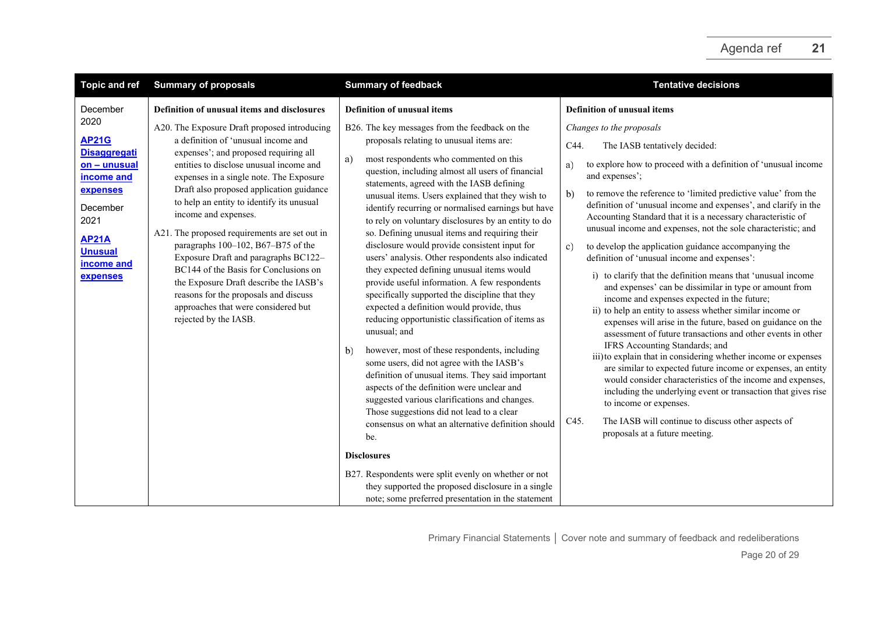| <b>Topic and ref</b>                                                                                                                                                              | <b>Summary of proposals</b>                                                                                                                                                                                                                                                                                                                                                                                                                                                                                                                                                                                                                                                                                   | <b>Summary of feedback</b>                                                                                                                                                                                                                                                                                                                                                                                                                                                                                                                                                                                                                                                                                                                                                                                                                                                                                                                                                                                                                                                                                                                                                                                                                                             | <b>Tentative decisions</b>                                                                                                                                                                                                                                                                                                                                                                                                                                                                                                                                                                                                                                                                                                                                                                                                                                                                                                                                                                                                                                                                                                                                                                                                                                                                                                                                                                   |
|-----------------------------------------------------------------------------------------------------------------------------------------------------------------------------------|---------------------------------------------------------------------------------------------------------------------------------------------------------------------------------------------------------------------------------------------------------------------------------------------------------------------------------------------------------------------------------------------------------------------------------------------------------------------------------------------------------------------------------------------------------------------------------------------------------------------------------------------------------------------------------------------------------------|------------------------------------------------------------------------------------------------------------------------------------------------------------------------------------------------------------------------------------------------------------------------------------------------------------------------------------------------------------------------------------------------------------------------------------------------------------------------------------------------------------------------------------------------------------------------------------------------------------------------------------------------------------------------------------------------------------------------------------------------------------------------------------------------------------------------------------------------------------------------------------------------------------------------------------------------------------------------------------------------------------------------------------------------------------------------------------------------------------------------------------------------------------------------------------------------------------------------------------------------------------------------|----------------------------------------------------------------------------------------------------------------------------------------------------------------------------------------------------------------------------------------------------------------------------------------------------------------------------------------------------------------------------------------------------------------------------------------------------------------------------------------------------------------------------------------------------------------------------------------------------------------------------------------------------------------------------------------------------------------------------------------------------------------------------------------------------------------------------------------------------------------------------------------------------------------------------------------------------------------------------------------------------------------------------------------------------------------------------------------------------------------------------------------------------------------------------------------------------------------------------------------------------------------------------------------------------------------------------------------------------------------------------------------------|
| December<br>2020<br><b>AP21G</b><br><b>Disaggregati</b><br>on - unusual<br>income and<br>expenses<br>December<br>2021<br><b>AP21A</b><br><b>Unusual</b><br>income and<br>expenses | Definition of unusual items and disclosures<br>A20. The Exposure Draft proposed introducing<br>a definition of 'unusual income and<br>expenses'; and proposed requiring all<br>entities to disclose unusual income and<br>expenses in a single note. The Exposure<br>Draft also proposed application guidance<br>to help an entity to identify its unusual<br>income and expenses.<br>A21. The proposed requirements are set out in<br>paragraphs 100-102, B67-B75 of the<br>Exposure Draft and paragraphs BC122-<br>BC144 of the Basis for Conclusions on<br>the Exposure Draft describe the IASB's<br>reasons for the proposals and discuss<br>approaches that were considered but<br>rejected by the IASB. | <b>Definition of unusual items</b><br>B26. The key messages from the feedback on the<br>proposals relating to unusual items are:<br>most respondents who commented on this<br>a)<br>question, including almost all users of financial<br>statements, agreed with the IASB defining<br>unusual items. Users explained that they wish to<br>identify recurring or normalised earnings but have<br>to rely on voluntary disclosures by an entity to do<br>so. Defining unusual items and requiring their<br>disclosure would provide consistent input for<br>users' analysis. Other respondents also indicated<br>they expected defining unusual items would<br>provide useful information. A few respondents<br>specifically supported the discipline that they<br>expected a definition would provide, thus<br>reducing opportunistic classification of items as<br>unusual; and<br>however, most of these respondents, including<br>b)<br>some users, did not agree with the IASB's<br>definition of unusual items. They said important<br>aspects of the definition were unclear and<br>suggested various clarifications and changes.<br>Those suggestions did not lead to a clear<br>consensus on what an alternative definition should<br>be.<br><b>Disclosures</b> | <b>Definition of unusual items</b><br>Changes to the proposals<br>The IASB tentatively decided:<br>C44.<br>to explore how to proceed with a definition of 'unusual income<br>a)<br>and expenses';<br>to remove the reference to 'limited predictive value' from the<br>b)<br>definition of 'unusual income and expenses', and clarify in the<br>Accounting Standard that it is a necessary characteristic of<br>unusual income and expenses, not the sole characteristic; and<br>to develop the application guidance accompanying the<br>c)<br>definition of 'unusual income and expenses':<br>i) to clarify that the definition means that 'unusual income<br>and expenses' can be dissimilar in type or amount from<br>income and expenses expected in the future;<br>ii) to help an entity to assess whether similar income or<br>expenses will arise in the future, based on guidance on the<br>assessment of future transactions and other events in other<br>IFRS Accounting Standards; and<br>iii) to explain that in considering whether income or expenses<br>are similar to expected future income or expenses, an entity<br>would consider characteristics of the income and expenses,<br>including the underlying event or transaction that gives rise<br>to income or expenses.<br>The IASB will continue to discuss other aspects of<br>C45.<br>proposals at a future meeting. |
|                                                                                                                                                                                   |                                                                                                                                                                                                                                                                                                                                                                                                                                                                                                                                                                                                                                                                                                               | B27. Respondents were split evenly on whether or not<br>they supported the proposed disclosure in a single<br>note; some preferred presentation in the statement                                                                                                                                                                                                                                                                                                                                                                                                                                                                                                                                                                                                                                                                                                                                                                                                                                                                                                                                                                                                                                                                                                       |                                                                                                                                                                                                                                                                                                                                                                                                                                                                                                                                                                                                                                                                                                                                                                                                                                                                                                                                                                                                                                                                                                                                                                                                                                                                                                                                                                                              |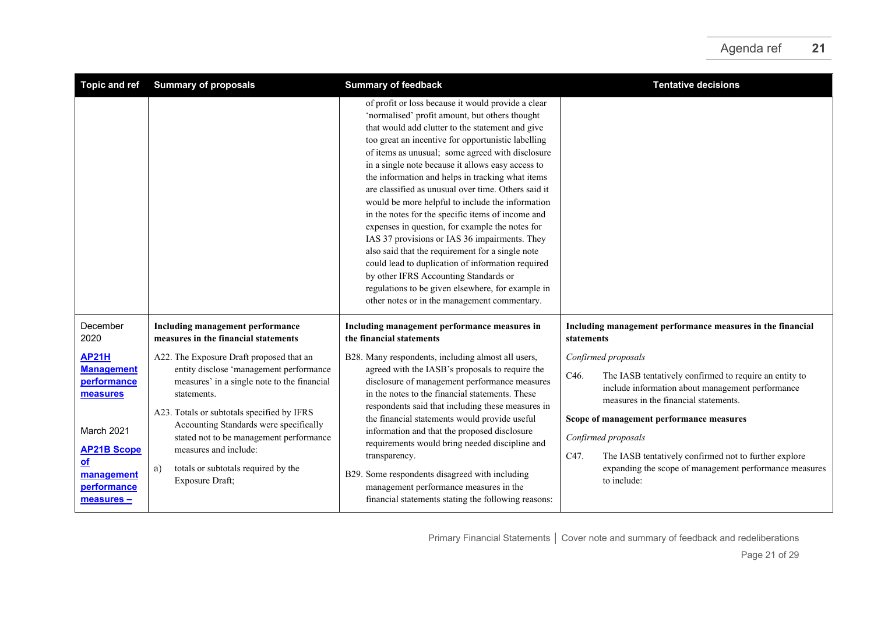| Topic and ref                                                                                                                                       | <b>Summary of proposals</b>                                                                                                                                                                                                                                                                                                                                                   | <b>Summary of feedback</b>                                                                                                                                                                                                                                                                                                                                                                                                                                                                                                                                                                                                                                                                                                                                                                                                                                                                             | <b>Tentative decisions</b>                                                                                                                                                                                                                                                                                                                                                                      |
|-----------------------------------------------------------------------------------------------------------------------------------------------------|-------------------------------------------------------------------------------------------------------------------------------------------------------------------------------------------------------------------------------------------------------------------------------------------------------------------------------------------------------------------------------|--------------------------------------------------------------------------------------------------------------------------------------------------------------------------------------------------------------------------------------------------------------------------------------------------------------------------------------------------------------------------------------------------------------------------------------------------------------------------------------------------------------------------------------------------------------------------------------------------------------------------------------------------------------------------------------------------------------------------------------------------------------------------------------------------------------------------------------------------------------------------------------------------------|-------------------------------------------------------------------------------------------------------------------------------------------------------------------------------------------------------------------------------------------------------------------------------------------------------------------------------------------------------------------------------------------------|
|                                                                                                                                                     |                                                                                                                                                                                                                                                                                                                                                                               | of profit or loss because it would provide a clear<br>'normalised' profit amount, but others thought<br>that would add clutter to the statement and give<br>too great an incentive for opportunistic labelling<br>of items as unusual; some agreed with disclosure<br>in a single note because it allows easy access to<br>the information and helps in tracking what items<br>are classified as unusual over time. Others said it<br>would be more helpful to include the information<br>in the notes for the specific items of income and<br>expenses in question, for example the notes for<br>IAS 37 provisions or IAS 36 impairments. They<br>also said that the requirement for a single note<br>could lead to duplication of information required<br>by other IFRS Accounting Standards or<br>regulations to be given elsewhere, for example in<br>other notes or in the management commentary. |                                                                                                                                                                                                                                                                                                                                                                                                 |
| December<br>2020                                                                                                                                    | Including management performance<br>measures in the financial statements                                                                                                                                                                                                                                                                                                      | Including management performance measures in<br>the financial statements                                                                                                                                                                                                                                                                                                                                                                                                                                                                                                                                                                                                                                                                                                                                                                                                                               | Including management performance measures in the financial<br>statements                                                                                                                                                                                                                                                                                                                        |
| <b>AP21H</b><br><b>Management</b><br>performance<br>measures<br>March 2021<br><b>AP21B Scope</b><br>$of$<br>management<br>performance<br>measures - | A22. The Exposure Draft proposed that an<br>entity disclose 'management performance<br>measures' in a single note to the financial<br>statements.<br>A23. Totals or subtotals specified by IFRS<br>Accounting Standards were specifically<br>stated not to be management performance<br>measures and include:<br>totals or subtotals required by the<br>a)<br>Exposure Draft; | B28. Many respondents, including almost all users,<br>agreed with the IASB's proposals to require the<br>disclosure of management performance measures<br>in the notes to the financial statements. These<br>respondents said that including these measures in<br>the financial statements would provide useful<br>information and that the proposed disclosure<br>requirements would bring needed discipline and<br>transparency.<br>B29. Some respondents disagreed with including<br>management performance measures in the<br>financial statements stating the following reasons:                                                                                                                                                                                                                                                                                                                  | Confirmed proposals<br>C46.<br>The IASB tentatively confirmed to require an entity to<br>include information about management performance<br>measures in the financial statements.<br>Scope of management performance measures<br>Confirmed proposals<br>The IASB tentatively confirmed not to further explore<br>C47.<br>expanding the scope of management performance measures<br>to include: |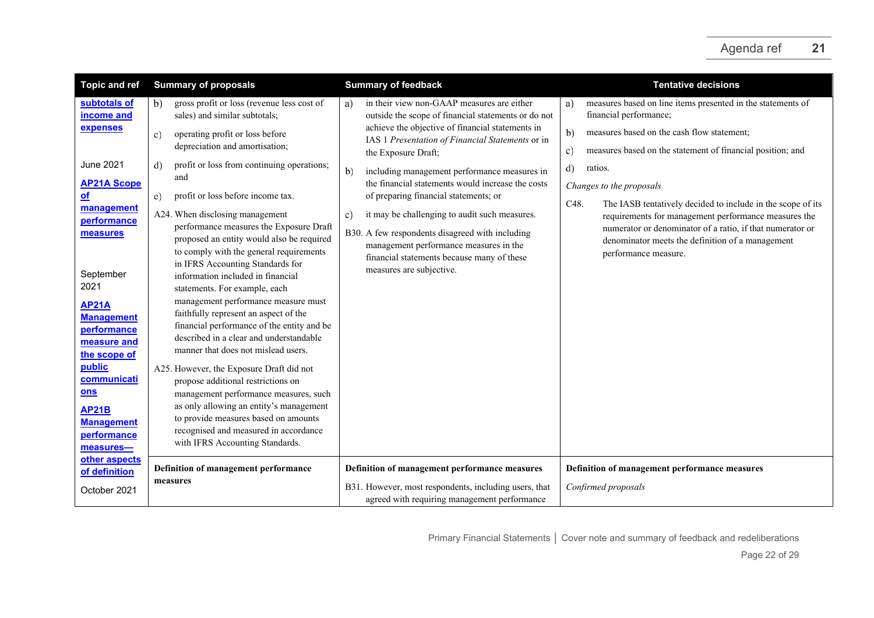| <b>Topic and ref</b>                                                                          | <b>Summary of proposals</b>                                                                                                                                                                                                                                                            | <b>Summary of feedback</b>                                                                                                                                                                                                 | <b>Tentative decisions</b>                                                                                                                                                                    |
|-----------------------------------------------------------------------------------------------|----------------------------------------------------------------------------------------------------------------------------------------------------------------------------------------------------------------------------------------------------------------------------------------|----------------------------------------------------------------------------------------------------------------------------------------------------------------------------------------------------------------------------|-----------------------------------------------------------------------------------------------------------------------------------------------------------------------------------------------|
| subtotals of<br>income and                                                                    | gross profit or loss (revenue less cost of<br>b)<br>sales) and similar subtotals;                                                                                                                                                                                                      | in their view non-GAAP measures are either<br>a)<br>outside the scope of financial statements or do not                                                                                                                    | measures based on line items presented in the statements of<br>a)<br>financial performance;                                                                                                   |
| expenses                                                                                      | operating profit or loss before<br>C)<br>depreciation and amortisation;                                                                                                                                                                                                                | achieve the objective of financial statements in<br>IAS 1 Presentation of Financial Statements or in<br>the Exposure Draft;                                                                                                | b)<br>measures based on the cash flow statement;<br>measures based on the statement of financial position; and<br>c)                                                                          |
| June 2021<br><b>AP21A Scope</b><br><u>of</u><br>management                                    | profit or loss from continuing operations;<br>d)<br>and<br>profit or loss before income tax.<br>e)                                                                                                                                                                                     | including management performance measures in<br>b)<br>the financial statements would increase the costs<br>of preparing financial statements; or                                                                           | d)<br>ratios.<br>Changes to the proposals<br>C48.<br>The IASB tentatively decided to include in the scope of its                                                                              |
| performance<br>measures<br>September<br>2021                                                  | A24. When disclosing management<br>performance measures the Exposure Draft<br>proposed an entity would also be required<br>to comply with the general requirements<br>in IFRS Accounting Standards for<br>information included in financial<br>statements. For example, each           | it may be challenging to audit such measures.<br>c)<br>B30. A few respondents disagreed with including<br>management performance measures in the<br>financial statements because many of these<br>measures are subjective. | requirements for management performance measures the<br>numerator or denominator of a ratio, if that numerator or<br>denominator meets the definition of a management<br>performance measure. |
| <b>AP21A</b><br><b>Management</b><br>performance<br>measure and<br>the scope of               | management performance measure must<br>faithfully represent an aspect of the<br>financial performance of the entity and be<br>described in a clear and understandable<br>manner that does not mislead users.                                                                           |                                                                                                                                                                                                                            |                                                                                                                                                                                               |
| public<br>communicati<br>ons<br><b>AP21B</b><br><b>Management</b><br>performance<br>measures- | A25. However, the Exposure Draft did not<br>propose additional restrictions on<br>management performance measures, such<br>as only allowing an entity's management<br>to provide measures based on amounts<br>recognised and measured in accordance<br>with IFRS Accounting Standards. |                                                                                                                                                                                                                            |                                                                                                                                                                                               |
| other aspects<br>of definition<br>October 2021                                                | Definition of management performance<br>measures                                                                                                                                                                                                                                       | Definition of management performance measures<br>B31. However, most respondents, including users, that<br>agreed with requiring management performance                                                                     | Definition of management performance measures<br>Confirmed proposals                                                                                                                          |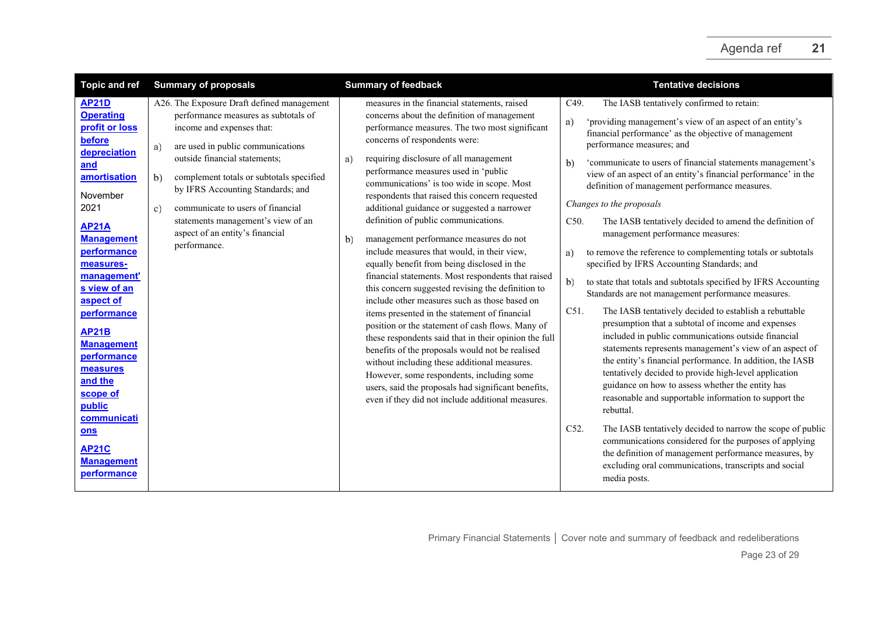| <b>Topic and ref</b><br><b>Summary of proposals</b><br><b>Summary of feedback</b><br><b>Tentative decisions</b>                                                                                                                                                                                                                                                                                                                                                                                                                                                                                                                                                                                                                                                                                                                                                                                                                                                                                                                                                                                                                                                                                                                                                                                                                                                                                                                                                                                                                                                                                                                                                                                                                                                                                                                                                                                                                                                                                                                                                                                                                                                                                                                                                                                                                                                                                                                                                                                                                                                                                                                                                                                                                                                                                                                                                                                                                                                                                                                                                                                                                                                                                                                                                                                                                                                                                                                                                                                                                                                                            |  |
|--------------------------------------------------------------------------------------------------------------------------------------------------------------------------------------------------------------------------------------------------------------------------------------------------------------------------------------------------------------------------------------------------------------------------------------------------------------------------------------------------------------------------------------------------------------------------------------------------------------------------------------------------------------------------------------------------------------------------------------------------------------------------------------------------------------------------------------------------------------------------------------------------------------------------------------------------------------------------------------------------------------------------------------------------------------------------------------------------------------------------------------------------------------------------------------------------------------------------------------------------------------------------------------------------------------------------------------------------------------------------------------------------------------------------------------------------------------------------------------------------------------------------------------------------------------------------------------------------------------------------------------------------------------------------------------------------------------------------------------------------------------------------------------------------------------------------------------------------------------------------------------------------------------------------------------------------------------------------------------------------------------------------------------------------------------------------------------------------------------------------------------------------------------------------------------------------------------------------------------------------------------------------------------------------------------------------------------------------------------------------------------------------------------------------------------------------------------------------------------------------------------------------------------------------------------------------------------------------------------------------------------------------------------------------------------------------------------------------------------------------------------------------------------------------------------------------------------------------------------------------------------------------------------------------------------------------------------------------------------------------------------------------------------------------------------------------------------------------------------------------------------------------------------------------------------------------------------------------------------------------------------------------------------------------------------------------------------------------------------------------------------------------------------------------------------------------------------------------------------------------------------------------------------------------------------------------------------------|--|
| measures in the financial statements, raised<br>AP21D<br>A26. The Exposure Draft defined management<br>The IASB tentatively confirmed to retain:<br>C49.<br><b>Operating</b><br>performance measures as subtotals of<br>concerns about the definition of management<br>a)<br>'providing management's view of an aspect of an entity's<br>profit or loss<br>income and expenses that:<br>performance measures. The two most significant<br>financial performance' as the objective of management<br>before<br>concerns of respondents were:<br>performance measures; and<br>are used in public communications<br>a)<br>depreciation<br>outside financial statements;<br>requiring disclosure of all management<br>a)<br>'communicate to users of financial statements management's<br>b)<br>and<br>performance measures used in 'public<br>view of an aspect of an entity's financial performance' in the<br>amortisation<br>b)<br>complement totals or subtotals specified<br>communications' is too wide in scope. Most<br>definition of management performance measures.<br>by IFRS Accounting Standards; and<br>November<br>respondents that raised this concern requested<br>Changes to the proposals<br>2021<br>communicate to users of financial<br>additional guidance or suggested a narrower<br>$\mathbf{c})$<br>statements management's view of an<br>definition of public communications.<br>The IASB tentatively decided to amend the definition of<br>C50.<br><b>AP21A</b><br>aspect of an entity's financial<br>management performance measures:<br>management performance measures do not<br><b>Management</b><br>b)<br>performance.<br>include measures that would, in their view,<br>performance<br>to remove the reference to complementing totals or subtotals<br>a)<br>equally benefit from being disclosed in the<br>specified by IFRS Accounting Standards; and<br>measures-<br>financial statements. Most respondents that raised<br>management'<br>b)<br>to state that totals and subtotals specified by IFRS Accounting<br>this concern suggested revising the definition to<br>s view of an<br>Standards are not management performance measures.<br>include other measures such as those based on<br>aspect of<br>C51.<br>The IASB tentatively decided to establish a rebuttable<br>items presented in the statement of financial<br>performance<br>presumption that a subtotal of income and expenses<br>position or the statement of cash flows. Many of<br><b>AP21B</b><br>included in public communications outside financial<br>these respondents said that in their opinion the full<br><b>Management</b><br>statements represents management's view of an aspect of<br>benefits of the proposals would not be realised<br>performance<br>the entity's financial performance. In addition, the IASB<br>without including these additional measures.<br>measures<br>tentatively decided to provide high-level application<br>However, some respondents, including some<br>and the<br>guidance on how to assess whether the entity has<br>users, said the proposals had significant benefits,<br>scope of<br>reasonable and supportable information to support the<br>even if they did not include additional measures.<br>public<br>rebuttal.<br>communicati<br>The IASB tentatively decided to narrow the scope of public<br>C52.<br>ons<br>communications considered for the purposes of applying<br><b>AP21C</b><br>the definition of management performance measures, by<br><b>Management</b><br>excluding oral communications, transcripts and social |  |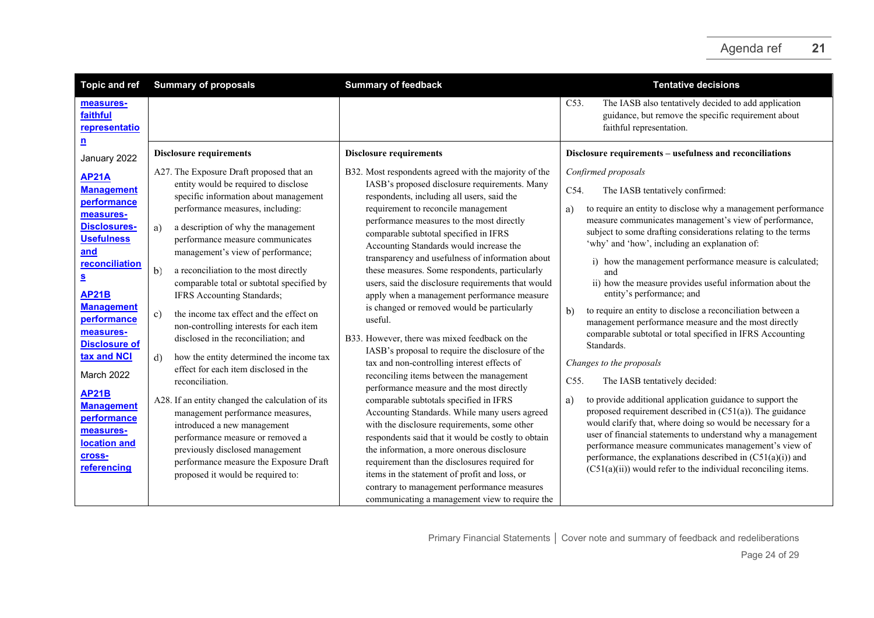<span id="page-23-2"></span><span id="page-23-1"></span><span id="page-23-0"></span>

| The IASB also tentatively decided to add application<br>C53.<br>measures-<br>faithful<br>guidance, but remove the specific requirement about<br>faithful representation.<br>representatio                                                                                                                                                                                                                                                                                                                                                                                                                                                                                                                                                                                                                                                                                                                                                                                                                                                                                                                                                                                                                                                                                                                                                                                                                                                                                                                                                                                                                                                                                                                                                                                                                                                                                                                                                                                                                                                                                                                                                                                                                                                                                                                                                                                                                                                                                                                                                                                                                                                                                                                                                                                                                                                                                                                                                                                                                                                                                                                                                                                                                                                                                                                                                                                                                                                                                                                                                                                                                                                                                                                                                                                                                                                                                                                |  |
|----------------------------------------------------------------------------------------------------------------------------------------------------------------------------------------------------------------------------------------------------------------------------------------------------------------------------------------------------------------------------------------------------------------------------------------------------------------------------------------------------------------------------------------------------------------------------------------------------------------------------------------------------------------------------------------------------------------------------------------------------------------------------------------------------------------------------------------------------------------------------------------------------------------------------------------------------------------------------------------------------------------------------------------------------------------------------------------------------------------------------------------------------------------------------------------------------------------------------------------------------------------------------------------------------------------------------------------------------------------------------------------------------------------------------------------------------------------------------------------------------------------------------------------------------------------------------------------------------------------------------------------------------------------------------------------------------------------------------------------------------------------------------------------------------------------------------------------------------------------------------------------------------------------------------------------------------------------------------------------------------------------------------------------------------------------------------------------------------------------------------------------------------------------------------------------------------------------------------------------------------------------------------------------------------------------------------------------------------------------------------------------------------------------------------------------------------------------------------------------------------------------------------------------------------------------------------------------------------------------------------------------------------------------------------------------------------------------------------------------------------------------------------------------------------------------------------------------------------------------------------------------------------------------------------------------------------------------------------------------------------------------------------------------------------------------------------------------------------------------------------------------------------------------------------------------------------------------------------------------------------------------------------------------------------------------------------------------------------------------------------------------------------------------------------------------------------------------------------------------------------------------------------------------------------------------------------------------------------------------------------------------------------------------------------------------------------------------------------------------------------------------------------------------------------------------------------------------------------------------------------------------------------------|--|
|                                                                                                                                                                                                                                                                                                                                                                                                                                                                                                                                                                                                                                                                                                                                                                                                                                                                                                                                                                                                                                                                                                                                                                                                                                                                                                                                                                                                                                                                                                                                                                                                                                                                                                                                                                                                                                                                                                                                                                                                                                                                                                                                                                                                                                                                                                                                                                                                                                                                                                                                                                                                                                                                                                                                                                                                                                                                                                                                                                                                                                                                                                                                                                                                                                                                                                                                                                                                                                                                                                                                                                                                                                                                                                                                                                                                                                                                                                          |  |
| $\underline{\mathbf{n}}$<br>Disclosure requirements - usefulness and reconciliations<br><b>Disclosure requirements</b><br><b>Disclosure requirements</b><br>January 2022                                                                                                                                                                                                                                                                                                                                                                                                                                                                                                                                                                                                                                                                                                                                                                                                                                                                                                                                                                                                                                                                                                                                                                                                                                                                                                                                                                                                                                                                                                                                                                                                                                                                                                                                                                                                                                                                                                                                                                                                                                                                                                                                                                                                                                                                                                                                                                                                                                                                                                                                                                                                                                                                                                                                                                                                                                                                                                                                                                                                                                                                                                                                                                                                                                                                                                                                                                                                                                                                                                                                                                                                                                                                                                                                 |  |
| A27. The Exposure Draft proposed that an<br>B32. Most respondents agreed with the majority of the<br>Confirmed proposals<br><b>AP21A</b><br>entity would be required to disclose<br>IASB's proposed disclosure requirements. Many<br><b>Management</b><br>C54.<br>The IASB tentatively confirmed:<br>specific information about management<br>respondents, including all users, said the<br>performance<br>performance measures, including:<br>requirement to reconcile management<br>to require an entity to disclose why a management performance<br>a)<br>measures-<br>measure communicates management's view of performance,<br>performance measures to the most directly<br><b>Disclosures-</b><br>a description of why the management<br>a)<br>subject to some drafting considerations relating to the terms<br>comparable subtotal specified in IFRS<br><b>Usefulness</b><br>performance measure communicates<br>'why' and 'how', including an explanation of:<br>Accounting Standards would increase the<br>and<br>management's view of performance;<br>transparency and usefulness of information about<br>i) how the management performance measure is calculated;<br>reconciliation<br>these measures. Some respondents, particularly<br>b)<br>a reconciliation to the most directly<br>and<br>$\underline{\underline{\mathbf{S}}}$<br>comparable total or subtotal specified by<br>users, said the disclosure requirements that would<br>ii) how the measure provides useful information about the<br>entity's performance; and<br><b>AP21B</b><br>IFRS Accounting Standards;<br>apply when a management performance measure<br><b>Management</b><br>is changed or removed would be particularly<br>to require an entity to disclose a reconciliation between a<br>b)<br>the income tax effect and the effect on<br>$\mathbf{c}$<br>performance<br>useful.<br>management performance measure and the most directly<br>non-controlling interests for each item<br>measures-<br>comparable subtotal or total specified in IFRS Accounting<br>disclosed in the reconciliation; and<br>B33. However, there was mixed feedback on the<br><b>Disclosure of</b><br>Standards.<br>IASB's proposal to require the disclosure of the<br>tax and NCI<br>how the entity determined the income tax<br>d)<br>tax and non-controlling interest effects of<br>Changes to the proposals<br>effect for each item disclosed in the<br><b>March 2022</b><br>reconciling items between the management<br>C55.<br>The IASB tentatively decided:<br>reconciliation.<br>performance measure and the most directly<br><b>AP21B</b><br>to provide additional application guidance to support the<br>A28. If an entity changed the calculation of its<br>comparable subtotals specified in IFRS<br>a)<br><b>Management</b><br>proposed requirement described in $(C51(a))$ . The guidance<br>management performance measures,<br>Accounting Standards. While many users agreed<br>performance<br>would clarify that, where doing so would be necessary for a<br>with the disclosure requirements, some other<br>introduced a new management<br>measures-<br>user of financial statements to understand why a management<br>respondents said that it would be costly to obtain<br>performance measure or removed a<br>location and<br>performance measure communicates management's view of<br>the information, a more onerous disclosure<br>previously disclosed management<br>cross-<br>performance, the explanations described in (C51(a)(i)) and<br>performance measure the Exposure Draft<br>requirement than the disclosures required for<br>referencing<br>$(C51(a)(ii))$ would refer to the individual reconciling items.<br>items in the statement of profit and loss, or<br>proposed it would be required to:<br>contrary to management performance measures<br>communicating a management view to require the |  |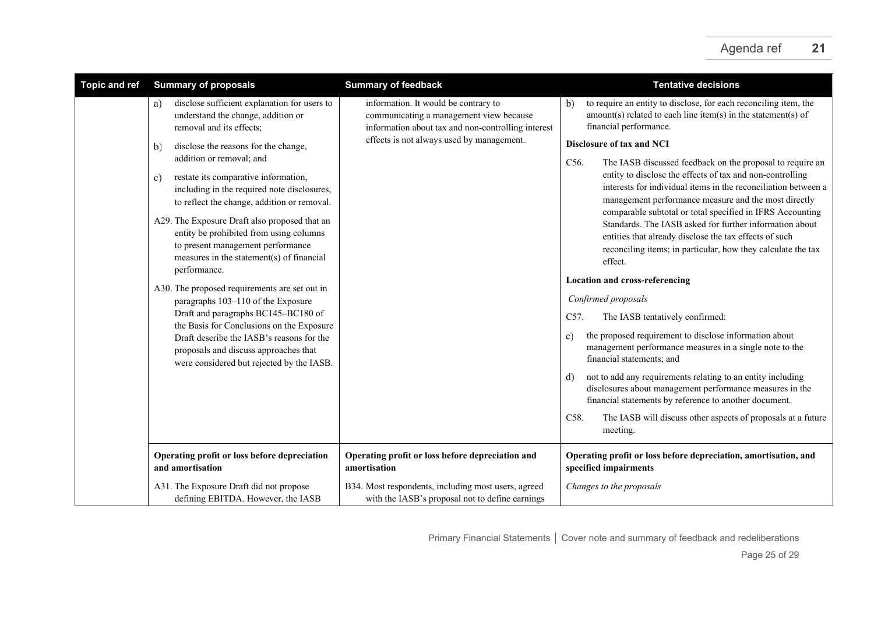| <b>Topic and ref</b> | <b>Summary of proposals</b>                                                                                                                                                                                                                                                                                                                                                                                                                                                                                                                                                                                                                                                                                                    | <b>Summary of feedback</b>                                                                                                                                                         | <b>Tentative decisions</b>                                                                                                                                                                                                                                                                                                                                                                                                                                                                                                                                                                                                                                                                                                                                                                                                                                                                                                                                                                                                                                                                                       |
|----------------------|--------------------------------------------------------------------------------------------------------------------------------------------------------------------------------------------------------------------------------------------------------------------------------------------------------------------------------------------------------------------------------------------------------------------------------------------------------------------------------------------------------------------------------------------------------------------------------------------------------------------------------------------------------------------------------------------------------------------------------|------------------------------------------------------------------------------------------------------------------------------------------------------------------------------------|------------------------------------------------------------------------------------------------------------------------------------------------------------------------------------------------------------------------------------------------------------------------------------------------------------------------------------------------------------------------------------------------------------------------------------------------------------------------------------------------------------------------------------------------------------------------------------------------------------------------------------------------------------------------------------------------------------------------------------------------------------------------------------------------------------------------------------------------------------------------------------------------------------------------------------------------------------------------------------------------------------------------------------------------------------------------------------------------------------------|
|                      | disclose sufficient explanation for users to<br>a)<br>understand the change, addition or<br>removal and its effects;                                                                                                                                                                                                                                                                                                                                                                                                                                                                                                                                                                                                           | information. It would be contrary to<br>communicating a management view because<br>information about tax and non-controlling interest<br>effects is not always used by management. | to require an entity to disclose, for each reconciling item, the<br>b)<br>$amount(s)$ related to each line item(s) in the statement(s) of<br>financial performance.                                                                                                                                                                                                                                                                                                                                                                                                                                                                                                                                                                                                                                                                                                                                                                                                                                                                                                                                              |
|                      | disclose the reasons for the change,<br>b)<br>addition or removal; and<br>restate its comparative information,<br>c)<br>including in the required note disclosures,<br>to reflect the change, addition or removal.<br>A29. The Exposure Draft also proposed that an<br>entity be prohibited from using columns<br>to present management performance<br>measures in the statement(s) of financial<br>performance.<br>A30. The proposed requirements are set out in<br>paragraphs 103-110 of the Exposure<br>Draft and paragraphs BC145-BC180 of<br>the Basis for Conclusions on the Exposure<br>Draft describe the IASB's reasons for the<br>proposals and discuss approaches that<br>were considered but rejected by the IASB. |                                                                                                                                                                                    | Disclosure of tax and NCI<br>C56.<br>The IASB discussed feedback on the proposal to require an<br>entity to disclose the effects of tax and non-controlling<br>interests for individual items in the reconciliation between a<br>management performance measure and the most directly<br>comparable subtotal or total specified in IFRS Accounting<br>Standards. The IASB asked for further information about<br>entities that already disclose the tax effects of such<br>reconciling items; in particular, how they calculate the tax<br>effect.<br><b>Location and cross-referencing</b><br>Confirmed proposals<br>C57.<br>The IASB tentatively confirmed:<br>the proposed requirement to disclose information about<br>$\mathbf{c}$ )<br>management performance measures in a single note to the<br>financial statements; and<br>not to add any requirements relating to an entity including<br>d)<br>disclosures about management performance measures in the<br>financial statements by reference to another document.<br>C58.<br>The IASB will discuss other aspects of proposals at a future<br>meeting. |
|                      | Operating profit or loss before depreciation<br>and amortisation                                                                                                                                                                                                                                                                                                                                                                                                                                                                                                                                                                                                                                                               | Operating profit or loss before depreciation and<br>amortisation                                                                                                                   | Operating profit or loss before depreciation, amortisation, and<br>specified impairments                                                                                                                                                                                                                                                                                                                                                                                                                                                                                                                                                                                                                                                                                                                                                                                                                                                                                                                                                                                                                         |
|                      | A31. The Exposure Draft did not propose<br>defining EBITDA. However, the IASB                                                                                                                                                                                                                                                                                                                                                                                                                                                                                                                                                                                                                                                  | B34. Most respondents, including most users, agreed<br>with the IASB's proposal not to define earnings                                                                             | Changes to the proposals                                                                                                                                                                                                                                                                                                                                                                                                                                                                                                                                                                                                                                                                                                                                                                                                                                                                                                                                                                                                                                                                                         |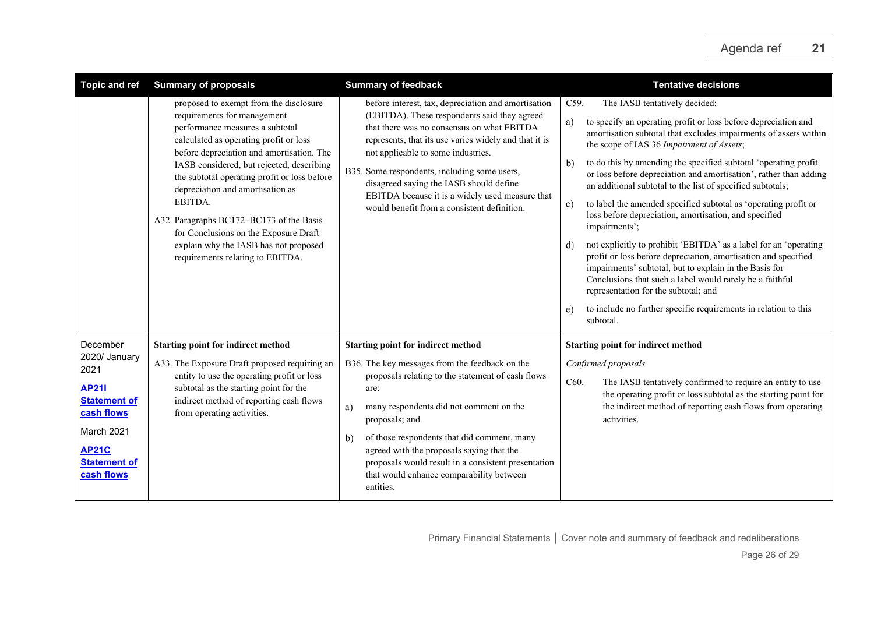| <b>Topic and ref</b>                                                                                                                                      | <b>Summary of proposals</b>                                                                                                                                                                                                                                                                                                                                                                                                                                                                                   | <b>Summary of feedback</b>                                                                                                                                                                                                                                                                                                                                                                                                                    | <b>Tentative decisions</b>                                                                                                                                                                                                                                                                                                                                                                                                                                                                                                                                                                                                                                                                                                                                                                                                                                                                                                                                                                               |
|-----------------------------------------------------------------------------------------------------------------------------------------------------------|---------------------------------------------------------------------------------------------------------------------------------------------------------------------------------------------------------------------------------------------------------------------------------------------------------------------------------------------------------------------------------------------------------------------------------------------------------------------------------------------------------------|-----------------------------------------------------------------------------------------------------------------------------------------------------------------------------------------------------------------------------------------------------------------------------------------------------------------------------------------------------------------------------------------------------------------------------------------------|----------------------------------------------------------------------------------------------------------------------------------------------------------------------------------------------------------------------------------------------------------------------------------------------------------------------------------------------------------------------------------------------------------------------------------------------------------------------------------------------------------------------------------------------------------------------------------------------------------------------------------------------------------------------------------------------------------------------------------------------------------------------------------------------------------------------------------------------------------------------------------------------------------------------------------------------------------------------------------------------------------|
|                                                                                                                                                           | proposed to exempt from the disclosure<br>requirements for management<br>performance measures a subtotal<br>calculated as operating profit or loss<br>before depreciation and amortisation. The<br>IASB considered, but rejected, describing<br>the subtotal operating profit or loss before<br>depreciation and amortisation as<br>EBITDA.<br>A32. Paragraphs BC172-BC173 of the Basis<br>for Conclusions on the Exposure Draft<br>explain why the IASB has not proposed<br>requirements relating to EBITDA. | before interest, tax, depreciation and amortisation<br>(EBITDA). These respondents said they agreed<br>that there was no consensus on what EBITDA<br>represents, that its use varies widely and that it is<br>not applicable to some industries.<br>B35. Some respondents, including some users,<br>disagreed saying the IASB should define<br>EBITDA because it is a widely used measure that<br>would benefit from a consistent definition. | The IASB tentatively decided:<br>C59.<br>to specify an operating profit or loss before depreciation and<br>a)<br>amortisation subtotal that excludes impairments of assets within<br>the scope of IAS 36 Impairment of Assets;<br>to do this by amending the specified subtotal 'operating profit<br>b)<br>or loss before depreciation and amortisation', rather than adding<br>an additional subtotal to the list of specified subtotals;<br>to label the amended specified subtotal as 'operating profit or<br>$\mathbf{c})$<br>loss before depreciation, amortisation, and specified<br>impairments';<br>not explicitly to prohibit 'EBITDA' as a label for an 'operating<br>d)<br>profit or loss before depreciation, amortisation and specified<br>impairments' subtotal, but to explain in the Basis for<br>Conclusions that such a label would rarely be a faithful<br>representation for the subtotal; and<br>to include no further specific requirements in relation to this<br>e)<br>subtotal. |
| December<br>2020/ January<br>2021<br><b>AP21I</b><br><b>Statement of</b><br>cash flows<br>March 2021<br><b>AP21C</b><br><b>Statement of</b><br>cash flows | <b>Starting point for indirect method</b><br>A33. The Exposure Draft proposed requiring an<br>entity to use the operating profit or loss<br>subtotal as the starting point for the<br>indirect method of reporting cash flows<br>from operating activities.                                                                                                                                                                                                                                                   | <b>Starting point for indirect method</b><br>B36. The key messages from the feedback on the<br>proposals relating to the statement of cash flows<br>are:<br>many respondents did not comment on the<br>a)<br>proposals; and<br>of those respondents that did comment, many<br>b)<br>agreed with the proposals saying that the<br>proposals would result in a consistent presentation<br>that would enhance comparability between<br>entities. | <b>Starting point for indirect method</b><br>Confirmed proposals<br>C60.<br>The IASB tentatively confirmed to require an entity to use<br>the operating profit or loss subtotal as the starting point for<br>the indirect method of reporting cash flows from operating<br>activities.                                                                                                                                                                                                                                                                                                                                                                                                                                                                                                                                                                                                                                                                                                                   |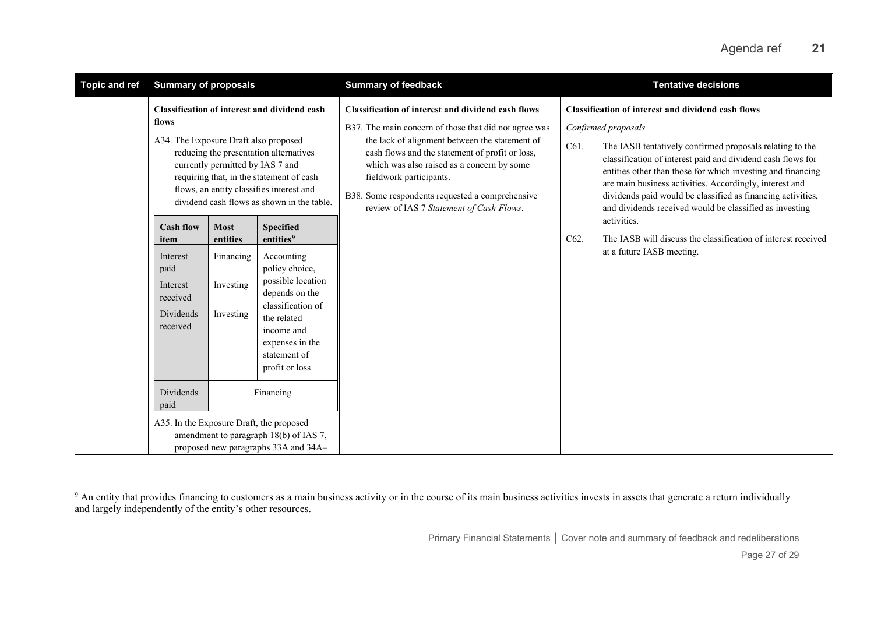<span id="page-26-0"></span>

| <b>Topic and ref</b> | <b>Summary of proposals</b>                                                                                                                                                                                                                                                                                                                                                                                                                                                                                                                                                                                                                                                                                                                                                                                                                                                             |  |  | <b>Summary of feedback</b>                                                                                                                                                                                                                                                                                                                                                                      |              | <b>Tentative decisions</b>                                                                                                                                                                                                                                                                                                                                                                                                                                                                                                                                                   |
|----------------------|-----------------------------------------------------------------------------------------------------------------------------------------------------------------------------------------------------------------------------------------------------------------------------------------------------------------------------------------------------------------------------------------------------------------------------------------------------------------------------------------------------------------------------------------------------------------------------------------------------------------------------------------------------------------------------------------------------------------------------------------------------------------------------------------------------------------------------------------------------------------------------------------|--|--|-------------------------------------------------------------------------------------------------------------------------------------------------------------------------------------------------------------------------------------------------------------------------------------------------------------------------------------------------------------------------------------------------|--------------|------------------------------------------------------------------------------------------------------------------------------------------------------------------------------------------------------------------------------------------------------------------------------------------------------------------------------------------------------------------------------------------------------------------------------------------------------------------------------------------------------------------------------------------------------------------------------|
|                      | <b>Classification of interest and dividend cash</b><br>flows<br>A34. The Exposure Draft also proposed<br>reducing the presentation alternatives<br>currently permitted by IAS 7 and<br>requiring that, in the statement of cash<br>flows, an entity classifies interest and<br>dividend cash flows as shown in the table.<br><b>Most</b><br><b>Specified</b><br><b>Cash flow</b><br>entities <sup>9</sup><br>entities<br>item<br>Financing<br>Accounting<br>Interest<br>policy choice,<br>paid<br>possible location<br>Investing<br>Interest<br>depends on the<br>received<br>classification of<br>Investing<br>Dividends<br>the related<br>received<br>income and<br>expenses in the<br>statement of<br>profit or loss<br>Dividends<br>Financing<br>paid<br>A35. In the Exposure Draft, the proposed<br>amendment to paragraph 18(b) of IAS 7,<br>proposed new paragraphs 33A and 34A- |  |  | <b>Classification of interest and dividend cash flows</b><br>B37. The main concern of those that did not agree was<br>the lack of alignment between the statement of<br>cash flows and the statement of profit or loss,<br>which was also raised as a concern by some<br>fieldwork participants.<br>B38. Some respondents requested a comprehensive<br>review of IAS 7 Statement of Cash Flows. | C61.<br>C62. | <b>Classification of interest and dividend cash flows</b><br>Confirmed proposals<br>The IASB tentatively confirmed proposals relating to the<br>classification of interest paid and dividend cash flows for<br>entities other than those for which investing and financing<br>are main business activities. Accordingly, interest and<br>dividends paid would be classified as financing activities,<br>and dividends received would be classified as investing<br>activities.<br>The IASB will discuss the classification of interest received<br>at a future IASB meeting. |

<sup>&</sup>lt;sup>9</sup> An entity that provides financing to customers as a main business activity or in the course of its main business activities invests in assets that generate a return individually and largely independently of the entity's other resources.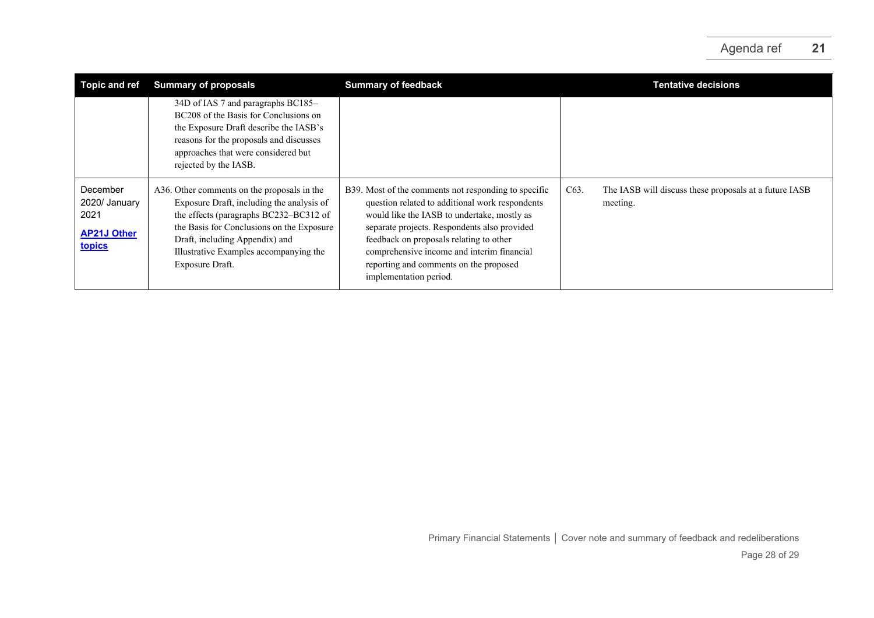| Topic and ref                                                     | <b>Summary of proposals</b>                                                                                                                                                                                                                                                    | <b>Summary of feedback</b>                                                                                                                                                                                                                                                                                                                                          | <b>Tentative decisions</b>                                                              |
|-------------------------------------------------------------------|--------------------------------------------------------------------------------------------------------------------------------------------------------------------------------------------------------------------------------------------------------------------------------|---------------------------------------------------------------------------------------------------------------------------------------------------------------------------------------------------------------------------------------------------------------------------------------------------------------------------------------------------------------------|-----------------------------------------------------------------------------------------|
|                                                                   | 34D of IAS 7 and paragraphs BC185-<br>BC208 of the Basis for Conclusions on<br>the Exposure Draft describe the IASB's<br>reasons for the proposals and discusses<br>approaches that were considered but<br>rejected by the IASB.                                               |                                                                                                                                                                                                                                                                                                                                                                     |                                                                                         |
| December<br>2020/ January<br>2021<br><b>AP21J Other</b><br>topics | A36. Other comments on the proposals in the<br>Exposure Draft, including the analysis of<br>the effects (paragraphs BC232–BC312 of<br>the Basis for Conclusions on the Exposure<br>Draft, including Appendix) and<br>Illustrative Examples accompanying the<br>Exposure Draft. | B39. Most of the comments not responding to specific<br>question related to additional work respondents<br>would like the IASB to undertake, mostly as<br>separate projects. Respondents also provided<br>feedback on proposals relating to other<br>comprehensive income and interim financial<br>reporting and comments on the proposed<br>implementation period. | C <sub>63</sub> .<br>The IASB will discuss these proposals at a future IASB<br>meeting. |